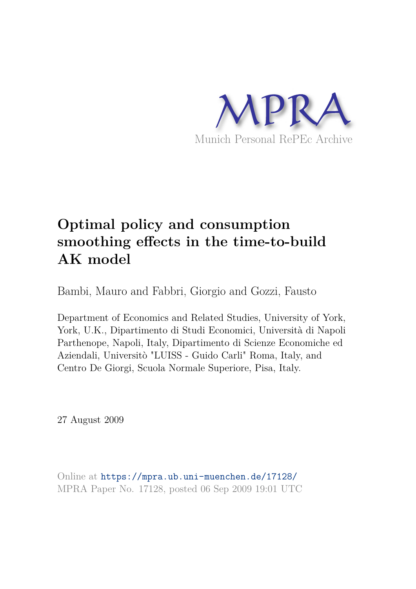

# **Optimal policy and consumption smoothing effects in the time-to-build AK model**

Bambi, Mauro and Fabbri, Giorgio and Gozzi, Fausto

Department of Economics and Related Studies, University of York, York, U.K., Dipartimento di Studi Economici, Università di Napoli Parthenope, Napoli, Italy, Dipartimento di Scienze Economiche ed Aziendali, Universitò "LUISS - Guido Carli" Roma, Italy, and Centro De Giorgi, Scuola Normale Superiore, Pisa, Italy.

27 August 2009

Online at https://mpra.ub.uni-muenchen.de/17128/ MPRA Paper No. 17128, posted 06 Sep 2009 19:01 UTC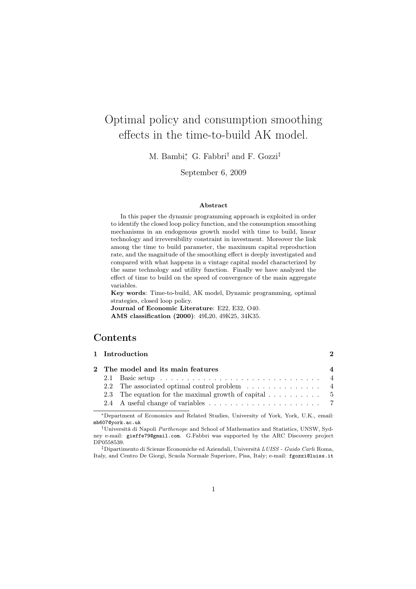## Optimal policy and consumption smoothing effects in the time-to-build AK model.

M. Bambi<sup>\*</sup>, G. Fabbri<sup>†</sup> and F. Gozzi<sup>‡</sup>

September 6, 2009

#### Abstract

In this paper the dynamic programming approach is exploited in order to identify the closed loop policy function, and the consumption smoothing mechanisms in an endogenous growth model with time to build, linear technology and irreversibility constraint in investment. Moreover the link among the time to build parameter, the maximum capital reproduction rate, and the magnitude of the smoothing effect is deeply investigated and compared with what happens in a vintage capital model characterized by the same technology and utility function. Finally we have analyzed the effect of time to build on the speed of convergence of the main aggregate variables.

Key words: Time-to-build, AK model, Dynamic programming, optimal strategies, closed loop policy.

Journal of Economic Literature: E22, E32, O40. AMS classification (2000): 49L20, 49K25, 34K35.

## **Contents**

|  | 1 Introduction                                                                          |                        |
|--|-----------------------------------------------------------------------------------------|------------------------|
|  | 2 The model and its main features                                                       | $\boldsymbol{\Lambda}$ |
|  | 2.1 Basic setup $\ldots \ldots \ldots \ldots \ldots \ldots \ldots \ldots \ldots \ldots$ |                        |
|  |                                                                                         |                        |
|  | 2.3 The equation for the maximal growth of capital $\dots \dots \dots$ 5                |                        |
|  |                                                                                         |                        |

<sup>∗</sup>Department of Economics and Related Studies, University of York, York, U.K., email: mb607@york.ac.uk

‡Dipartimento di Scienze Economiche ed Aziendali, Università LUISS - Guido Carli Roma, Italy, and Centro De Giorgi, Scuola Normale Superiore, Pisa, Italy; e-mail: fgozzi@luiss.it

<sup>†</sup>Università di Napoli Parthenope and School of Mathematics and Statistics, UNSW, Sydney e-mail: gieffe79@gmail.com. G.Fabbri was supported by the ARC Discovery project DP0558539.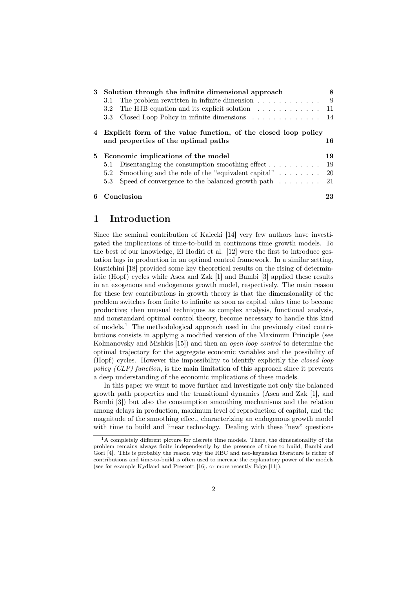| 3 | Solution through the infinite dimensional approach                                                    | 8   |
|---|-------------------------------------------------------------------------------------------------------|-----|
|   | 3.1                                                                                                   | -9  |
|   | The HJB equation and its explicit solution $\ldots \ldots \ldots \ldots$<br>3.2                       | 11  |
|   | Closed Loop Policy in infinite dimensions $\ldots \ldots \ldots \ldots 14$<br>3.3                     |     |
|   | Explicit form of the value function, of the closed loop policy<br>and properties of the optimal paths | 16  |
|   | 5 Economic implications of the model                                                                  | 19  |
|   | Disentangling the consumption smoothing effect $\dots \dots \dots$<br>5.1                             | -19 |
|   |                                                                                                       |     |
|   | $5.2^{\circ}$                                                                                         |     |
|   | Speed of convergence to the balanced growth path $\ldots \ldots$ 21<br>5.3                            |     |

## 1 Introduction

Since the seminal contribution of Kalecki [14] very few authors have investigated the implications of time-to-build in continuous time growth models. To the best of our knowledge, El Hodiri et al. [12] were the first to introduce gestation lags in production in an optimal control framework. In a similar setting, Rustichini [18] provided some key theoretical results on the rising of deterministic (Hopf) cycles while Asea and Zak [1] and Bambi [3] applied these results in an exogenous and endogenous growth model, respectively. The main reason for these few contributions in growth theory is that the dimensionality of the problem switches from finite to infinite as soon as capital takes time to become productive; then unusual techniques as complex analysis, functional analysis, and nonstandard optimal control theory, become necessary to handle this kind of models.<sup>1</sup> The methodological approach used in the previously cited contributions consists in applying a modified version of the Maximum Principle (see Kolmanovsky and Mishkis [15]) and then an *open loop control* to determine the optimal trajectory for the aggregate economic variables and the possibility of (Hopf) cycles. However the impossibility to identify explicitly the closed loop policy (CLP) function, is the main limitation of this approach since it prevents a deep understanding of the economic implications of these models.

In this paper we want to move further and investigate not only the balanced growth path properties and the transitional dynamics (Asea and Zak [1], and Bambi [3]) but also the consumption smoothing mechanisms and the relation among delays in production, maximum level of reproduction of capital, and the magnitude of the smoothing effect, characterizing an endogenous growth model with time to build and linear technology. Dealing with these "new" questions

<sup>&</sup>lt;sup>1</sup>A completely different picture for discrete time models. There, the dimensionality of the problem remains always finite independently by the presence of time to build, Bambi and Gori [4]. This is probably the reason why the RBC and neo-keynesian literature is richer of contributions and time-to-build is often used to increase the explanatory power of the models (see for example Kydland and Prescott [16], or more recently Edge [11]).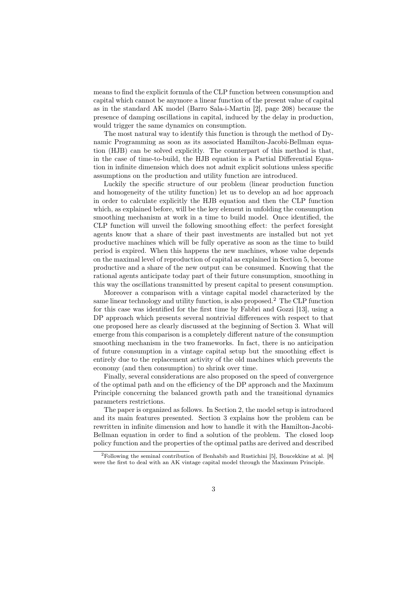means to find the explicit formula of the CLP function between consumption and capital which cannot be anymore a linear function of the present value of capital as in the standard AK model (Barro Sala-i-Martin [2], page 208) because the presence of damping oscillations in capital, induced by the delay in production, would trigger the same dynamics on consumption.

The most natural way to identify this function is through the method of Dynamic Programming as soon as its associated Hamilton-Jacobi-Bellman equation (HJB) can be solved explicitly. The counterpart of this method is that, in the case of time-to-build, the HJB equation is a Partial Differential Equation in infinite dimension which does not admit explicit solutions unless specific assumptions on the production and utility function are introduced.

Luckily the specific structure of our problem (linear production function and homogeneity of the utility function) let us to develop an ad hoc approach in order to calculate explicitly the HJB equation and then the CLP function which, as explained before, will be the key element in unfolding the consumption smoothing mechanism at work in a time to build model. Once identified, the CLP function will unveil the following smoothing effect: the perfect foresight agents know that a share of their past investments are installed but not yet productive machines which will be fully operative as soon as the time to build period is expired. When this happens the new machines, whose value depends on the maximal level of reproduction of capital as explained in Section 5, become productive and a share of the new output can be consumed. Knowing that the rational agents anticipate today part of their future consumption, smoothing in this way the oscillations transmitted by present capital to present consumption.

Moreover a comparison with a vintage capital model characterized by the same linear technology and utility function, is also proposed.<sup>2</sup> The CLP function for this case was identified for the first time by Fabbri and Gozzi [13], using a DP approach which presents several nontrivial differences with respect to that one proposed here as clearly discussed at the beginning of Section 3. What will emerge from this comparison is a completely different nature of the consumption smoothing mechanism in the two frameworks. In fact, there is no anticipation of future consumption in a vintage capital setup but the smoothing effect is entirely due to the replacement activity of the old machines which prevents the economy (and then consumption) to shrink over time.

Finally, several considerations are also proposed on the speed of convergence of the optimal path and on the efficiency of the DP approach and the Maximum Principle concerning the balanced growth path and the transitional dynamics parameters restrictions.

The paper is organized as follows. In Section 2, the model setup is introduced and its main features presented. Section 3 explains how the problem can be rewritten in infinite dimension and how to handle it with the Hamilton-Jacobi-Bellman equation in order to find a solution of the problem. The closed loop policy function and the properties of the optimal paths are derived and described

<sup>2</sup>Following the seminal contribution of Benhabib and Rustichini [5], Boucekkine at al. [8] were the first to deal with an AK vintage capital model through the Maximum Principle.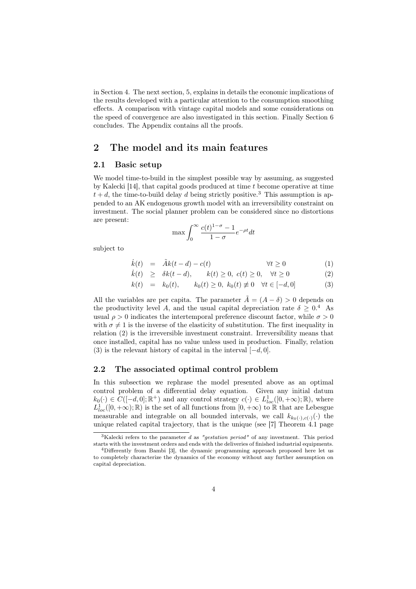in Section 4. The next section, 5, explains in details the economic implications of the results developed with a particular attention to the consumption smoothing effects. A comparison with vintage capital models and some considerations on the speed of convergence are also investigated in this section. Finally Section 6 concludes. The Appendix contains all the proofs.

## 2 The model and its main features

#### 2.1 Basic setup

We model time-to-build in the simplest possible way by assuming, as suggested by Kalecki [14], that capital goods produced at time t become operative at time  $t + d$ , the time-to-build delay d being strictly positive.<sup>3</sup> This assumption is appended to an AK endogenous growth model with an irreversibility constraint on investment. The social planner problem can be considered since no distortions are present:

$$
\max \int_0^\infty \frac{c(t)^{1-\sigma}-1}{1-\sigma} e^{-\rho t} dt
$$

subject to

$$
\dot{k}(t) = \tilde{A}k(t-d) - c(t) \qquad \forall t \ge 0 \tag{1}
$$

$$
\dot{k}(t) \geq \delta k(t-d), \qquad k(t) \geq 0, \ c(t) \geq 0, \quad \forall t \geq 0 \tag{2}
$$

$$
k(t) = k_0(t), \qquad k_0(t) \ge 0, \ k_0(t) \ne 0 \quad \forall t \in [-d, 0]
$$
 (3)

All the variables are per capita. The parameter  $\tilde{A} = (A - \delta) > 0$  depends on the productivity level A, and the usual capital depreciation rate  $\delta \geq 0.4$  As usual  $\rho > 0$  indicates the intertemporal preference discount factor, while  $\sigma > 0$ with  $\sigma \neq 1$  is the inverse of the elasticity of substitution. The first inequality in relation (2) is the irreversible investment constraint. Irreversibility means that once installed, capital has no value unless used in production. Finally, relation (3) is the relevant history of capital in the interval  $[-d, 0]$ .

#### 2.2 The associated optimal control problem

In this subsection we rephrase the model presented above as an optimal control problem of a differential delay equation. Given any initial datum  $k_0(\cdot) \in C([-d, 0]; \mathbb{R}^+)$  and any control strategy  $c(\cdot) \in L^1_{loc}([0, +\infty); \mathbb{R})$ , where  $L_{loc}^1([0,+\infty);\mathbb{R})$  is the set of all functions from  $[0,+\infty)$  to  $\mathbb R$  that are Lebesgue measurable and integrable on all bounded intervals, we call  $k_{k_0(\cdot),c(\cdot)}(\cdot)$  the unique related capital trajectory, that is the unique (see [7] Theorem 4.1 page

<sup>&</sup>lt;sup>3</sup>Kalecki refers to the parameter d as "*qestation period*" of any investment. This period starts with the investment orders and ends with the deliveries of finished industrial equipments.

<sup>4</sup>Differently from Bambi [3], the dynamic programming approach proposed here let us to completely characterize the dynamics of the economy without any further assumption on capital depreciation.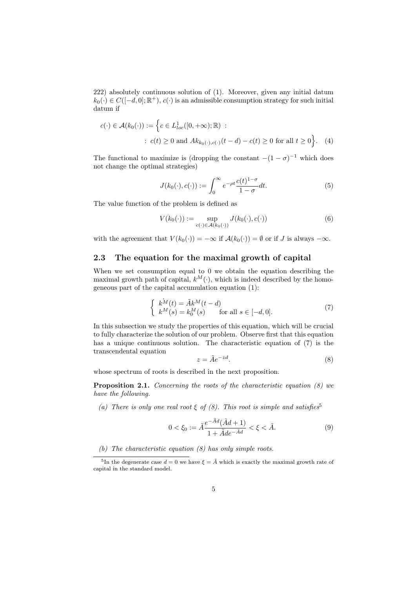222) absolutely continuous solution of (1). Moreover, given any initial datum  $k_0(\cdot) \in C([-d, 0]; \mathbb{R}^+), c(\cdot)$  is an admissible consumption strategy for such initial datum if

$$
c(\cdot) \in \mathcal{A}(k_0(\cdot)) := \left\{ c \in L^1_{loc}([0, +\infty); \mathbb{R}) \; : \\ c(t) \ge 0 \text{ and } Ak_{k_0(\cdot), c(\cdot)}(t - d) - c(t) \ge 0 \text{ for all } t \ge 0 \right\}. \tag{4}
$$

The functional to maximize is (dropping the constant  $-(1 - \sigma)^{-1}$  which does not change the optimal strategies)

$$
J(k_0(\cdot), c(\cdot)) := \int_0^\infty e^{-\rho t} \frac{c(t)^{1-\sigma}}{1-\sigma} dt.
$$
 (5)

The value function of the problem is defined as

$$
V(k_0(\cdot)) := \sup_{c(\cdot) \in \mathcal{A}(k_0(\cdot))} J(k_0(\cdot), c(\cdot))
$$
\n(6)

with the agreement that  $V(k_0(\cdot)) = -\infty$  if  $\mathcal{A}(k_0(\cdot)) = \emptyset$  or if J is always  $-\infty$ .

#### 2.3 The equation for the maximal growth of capital

When we set consumption equal to 0 we obtain the equation describing the maximal growth path of capital,  $k^M(\cdot)$ , which is indeed described by the homogeneous part of the capital accumulation equation (1):

$$
\begin{cases}\nk^M(t) = \tilde{A}k^M(t - d) \\
k^M(s) = k_0^M(s) \quad \text{for all } s \in [-d, 0].\n\end{cases}
$$
\n(7)

In this subsection we study the properties of this equation, which will be crucial to fully characterize the solution of our problem. Observe first that this equation has a unique continuous solution. The characteristic equation of (7) is the transcendental equation

$$
z = \tilde{A}e^{-zd}.\tag{8}
$$

whose spectrum of roots is described in the next proposition.

Proposition 2.1. Concerning the roots of the characteristic equation (8) we have the following.

(a) There is only one real root  $\xi$  of  $(8)$ . This root is simple and satisfies<sup>5</sup>

$$
0 < \xi_0 := \tilde{A} \frac{e^{-\tilde{A}d} (\tilde{A}d + 1)}{1 + \tilde{A}de^{-\tilde{A}d}} < \xi < \tilde{A}.\tag{9}
$$

(b) The characteristic equation (8) has only simple roots.

<sup>&</sup>lt;sup>5</sup>In the degenerate case  $d = 0$  we have  $\xi = \tilde{A}$  which is exactly the maximal growth rate of capital in the standard model.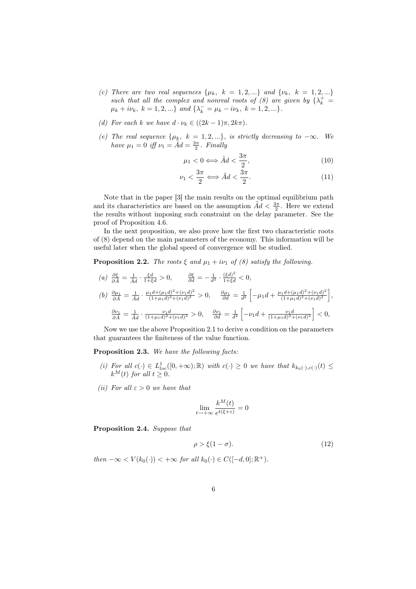- (c) There are two real sequences  $\{\mu_k, k = 1, 2, ...\}$  and  $\{\nu_k, k = 1, 2, ...\}$ such that all the complex and nonreal roots of (8) are given by  $\{\lambda_k^+ =$  $\mu_k + i\nu_k, \ k = 1, 2, ...\}$  and  $\{\lambda_k^- = \mu_k - i\nu_k, \ k = 1, 2, ...\}.$
- (d) For each k we have  $d \cdot \nu_k \in ((2k-1)\pi, 2k\pi)$ .
- (e) The real sequence  $\{\mu_k, k = 1, 2, ...\}$ , is strictly decreasing to  $-\infty$ . We have  $\mu_1 = 0$  iff  $\nu_1 = \tilde{A}d = \frac{3\pi}{2}$ . Finally

$$
\mu_1 < 0 \Longleftrightarrow \tilde{A}d < \frac{3\pi}{2},\tag{10}
$$

$$
\nu_1 < \frac{3\pi}{2} \Longleftrightarrow \tilde{A}d < \frac{3\pi}{2}.\tag{11}
$$

Note that in the paper [3] the main results on the optimal equilibrium path and its characteristics are based on the assumption  $\tilde{A}d < \frac{3\pi}{2}$ . Here we extend the results without imposing such constraint on the delay parameter. See the proof of Proposition 4.6.

In the next proposition, we also prove how the first two characteristic roots of (8) depend on the main parameters of the economy. This information will be useful later when the global speed of convergence will be studied.

**Proposition 2.2.** The roots  $\xi$  and  $\mu_1 + i\nu_1$  of (8) satisfy the following.

(a) 
$$
\frac{\partial \xi}{\partial \tilde{A}} = \frac{1}{\tilde{A}d} \cdot \frac{\xi d}{1 + \xi d} > 0
$$
,  $\frac{\partial \xi}{\partial d} = -\frac{1}{d^2} \cdot \frac{(\xi d)^2}{1 + \xi d} < 0$ ,  
\n(b)  $\frac{\partial \mu_1}{\partial \tilde{A}} = \frac{1}{\tilde{A}d} \cdot \frac{\mu_1 d + (\mu_1 d)^2 + (\nu_1 d)^2}{(1 + \mu_1 d)^2 + (\nu_1 d)^2} > 0$ ,  $\frac{\partial \mu_1}{\partial d} = \frac{1}{d^2} \left[ -\mu_1 d + \frac{\mu_1 d + (\mu_1 d)^2 + (\nu_1 d)^2}{(1 + \mu_1 d)^2 + (\nu_1 d)^2} \right]$ ,  
\n $\frac{\partial \nu_1}{\partial \tilde{A}} = \frac{1}{\tilde{A}d} \cdot \frac{\nu_1 d}{(1 + \mu_1 d)^2 + (\nu_1 d)^2} > 0$ ,  $\frac{\partial \nu_1}{\partial d} = \frac{1}{d^2} \left[ -\nu_1 d + \frac{\nu_1 d}{(1 + \mu_1 d)^2 + (\nu_1 d)^2} \right] < 0$ ,

Now we use the above Proposition 2.1 to derive a condition on the parameters that guarantees the finiteness of the value function.

Proposition 2.3. We have the following facts:

- (i) For all  $c(\cdot) \in L^1_{loc}([0,+\infty);\mathbb{R})$  with  $c(\cdot) \geq 0$  we have that  $k_{k_0(\cdot),c(\cdot)}(t) \leq$  $k^M(t)$  for all  $t \geq 0$ .
- (ii) For all  $\varepsilon > 0$  we have that

$$
\lim_{t\to+\infty}\frac{k^M(t)}{e^{t(\xi+\varepsilon)}}=0
$$

Proposition 2.4. Suppose that

$$
\rho > \xi(1 - \sigma). \tag{12}
$$

then  $-\infty < V(k_0(\cdot)) < +\infty$  for all  $k_0(\cdot) \in C([-d, 0]; \mathbb{R}^+).$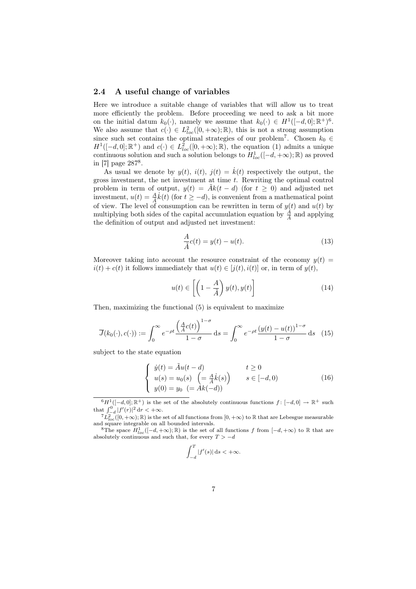#### 2.4 A useful change of variables

Here we introduce a suitable change of variables that will allow us to treat more efficiently the problem. Before proceeding we need to ask a bit more on the initial datum  $k_0(\cdot)$ , namely we assume that  $k_0(\cdot) \in H^1([-d,0];\mathbb{R}^+)^6$ . We also assume that  $c(\cdot) \in L^2_{loc}([0,+\infty);\mathbb{R})$ , this is not a strong assumption since such set contains the optimal strategies of our problem<sup>7</sup>. Chosen  $k_0 \in$  $H^1([-d, 0]; \mathbb{R}^+)$  and  $c(\cdot) \in L^2_{loc}([0, +\infty); \mathbb{R})$ , the equation (1) admits a unique continuous solution and such a solution belongs to  $H_{loc}^1([-d, +\infty); \mathbb{R})$  as proved in [7] page 287<sup>8</sup> .

As usual we denote by  $y(t)$ ,  $i(t)$ ,  $j(t) = \dot{k}(t)$  respectively the output, the gross investment, the net investment at time  $t$ . Rewriting the optimal control problem in term of output,  $y(t) = \tilde{A}k(t - d)$  (for  $t \ge 0$ ) and adjusted net investment,  $u(t) = \frac{A}{\tilde{A}} k(t)$  (for  $t \ge -d$ ), is convenient from a mathematical point of view. The level of consumption can be rewritten in term of  $y(t)$  and  $u(t)$  by multiplying both sides of the capital accumulation equation by  $\frac{A}{\overline{A}}$  and applying the definition of output and adjusted net investment:

$$
\frac{A}{\tilde{A}}c(t) = y(t) - u(t).
$$
\n(13)

Moreover taking into account the resource constraint of the economy  $y(t)$  =  $i(t) + c(t)$  it follows immediately that  $u(t) \in [j(t), i(t)]$  or, in term of  $y(t)$ ,

$$
u(t) \in \left[ \left( 1 - \frac{A}{\tilde{A}} \right) y(t), y(t) \right] \tag{14}
$$

Then, maximizing the functional (5) is equivalent to maximize

$$
\overline{J}(k_0(\cdot), c(\cdot)) := \int_0^\infty e^{-\rho t} \frac{\left(\frac{A}{\tilde{A}}c(t)\right)^{1-\sigma}}{1-\sigma} ds = \int_0^\infty e^{-\rho t} \frac{\left(y(t) - u(t)\right)^{1-\sigma}}{1-\sigma} ds \quad (15)
$$

subject to the state equation

$$
\begin{cases}\n\dot{y}(t) = \tilde{A}u(t-d) & t \ge 0 \\
u(s) = u_0(s) \left( = \frac{A}{\tilde{A}}\dot{k}(s) \right) & s \in [-d, 0) \\
y(0) = y_0 \left( = Ak(-d) \right)\n\end{cases}
$$
\n(16)

$$
\int_{-d}^{T} |f'(s)| \, \mathrm{d} s < +\infty.
$$

 $^{6}H^{1}([-d, 0]; \mathbb{R}^{+})$  is the set of the absolutely continuous functions  $f: [-d, 0] \rightarrow \mathbb{R}^{+}$  such that  $\int_{-d}^{0} |f'(r)|^2 dr < +\infty$ .

 ${}^{7}L_{\text{loc}}^{2}([0,+\infty);\mathbb{R})$  is the set of all functions from  $[0,+\infty)$  to  $\mathbb R$  that are Lebesgue measurable and square integrable on all bounded intervals.

<sup>&</sup>lt;sup>8</sup>The space  $H_{loc}^{1}([-d, +\infty); \mathbb{R})$  is the set of all functions f from  $[-d, +\infty)$  to  $\mathbb R$  that are absolutely continuous and such that, for every  $T > -d$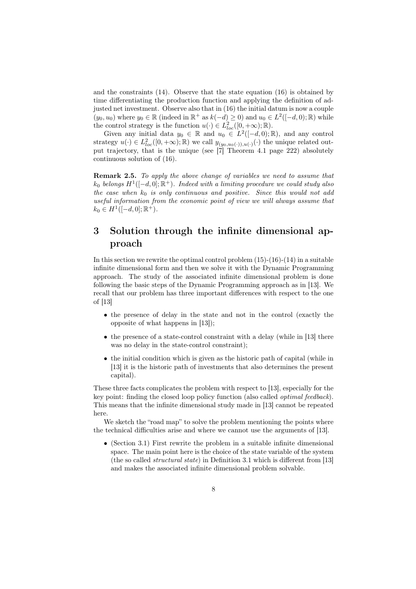and the constraints (14). Observe that the state equation (16) is obtained by time differentiating the production function and applying the definition of adjusted net investment. Observe also that in (16) the initial datum is now a couple  $(y_0, u_0)$  where  $y_0 \in \mathbb{R}$  (indeed in  $\mathbb{R}^+$  as  $k(-d) \geq 0$ ) and  $u_0 \in L^2([-d, 0); \mathbb{R})$  while the control strategy is the function  $u(\cdot) \in L^2_{loc}([0,+\infty);\mathbb{R})$ .

Given any initial data  $y_0 \in \mathbb{R}$  and  $u_0 \in L^2([-d,0);\mathbb{R})$ , and any control strategy  $u(\cdot) \in L^2_{loc}([0,+\infty);\mathbb{R})$  we call  $y_{(y_0,u_0(\cdot)),u(\cdot)}(\cdot)$  the unique related output trajectory, that is the unique (see [7] Theorem 4.1 page 222) absolutely continuous solution of (16).

Remark 2.5. To apply the above change of variables we need to assume that  $k_0$  belongs  $H^1([-d, 0]; \mathbb{R}^+)$ . Indeed with a limiting procedure we could study also the case when  $k_0$  is only continuous and positive. Since this would not add useful information from the economic point of view we will always assume that  $k_0 \in H^1([-d, 0]; \mathbb{R}^+).$ 

## 3 Solution through the infinite dimensional approach

In this section we rewrite the optimal control problem  $(15)-(16)-(14)$  in a suitable infinite dimensional form and then we solve it with the Dynamic Programming approach. The study of the associated infinite dimensional problem is done following the basic steps of the Dynamic Programming approach as in [13]. We recall that our problem has three important differences with respect to the one of [13]

- the presence of delay in the state and not in the control (exactly the opposite of what happens in [13]);
- the presence of a state-control constraint with a delay (while in [13] there was no delay in the state-control constraint);
- the initial condition which is given as the historic path of capital (while in [13] it is the historic path of investments that also determines the present capital).

These three facts complicates the problem with respect to [13], especially for the key point: finding the closed loop policy function (also called optimal feedback). This means that the infinite dimensional study made in [13] cannot be repeated here.

We sketch the "road map" to solve the problem mentioning the points where the technical difficulties arise and where we cannot use the arguments of [13].

• (Section 3.1) First rewrite the problem in a suitable infinite dimensional space. The main point here is the choice of the state variable of the system (the so called structural state) in Definition 3.1 which is different from [13] and makes the associated infinite dimensional problem solvable.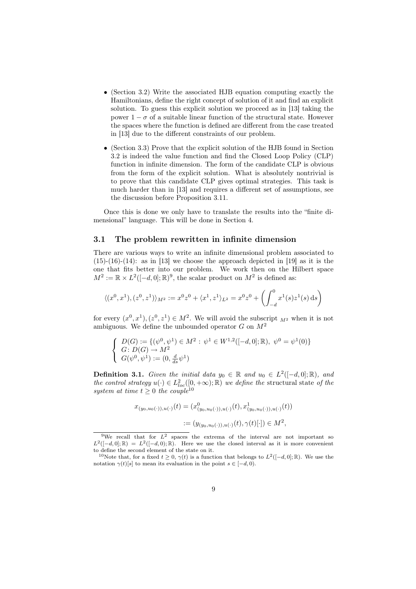- (Section 3.2) Write the associated HJB equation computing exactly the Hamiltonians, define the right concept of solution of it and find an explicit solution. To guess this explicit solution we proceed as in [13] taking the power  $1 - \sigma$  of a suitable linear function of the structural state. However the spaces where the function is defined are different from the case treated in [13] due to the different constraints of our problem.
- (Section 3.3) Prove that the explicit solution of the HJB found in Section 3.2 is indeed the value function and find the Closed Loop Policy (CLP) function in infinite dimension. The form of the candidate CLP is obvious from the form of the explicit solution. What is absolutely nontrivial is to prove that this candidate CLP gives optimal strategies. This task is much harder than in [13] and requires a different set of assumptions, see the discussion before Proposition 3.11.

Once this is done we only have to translate the results into the "finite dimensional" language. This will be done in Section 4.

#### 3.1 The problem rewritten in infinite dimension

There are various ways to write an infinite dimensional problem associated to  $(15)-(16)-(14)$ : as in [13] we choose the approach depicted in [19] as it is the one that fits better into our problem. We work then on the Hilbert space  $M^2 := \mathbb{R} \times L^2([-d, 0]; \mathbb{R})^9$ , the scalar product on  $M^2$  is defined as:

$$
\langle (x^0, x^1), (z^0, z^1) \rangle_{M^2} := x^0 z^0 + \langle x^1, z^1 \rangle_{L^2} = x^0 z^0 + \left( \int_{-d}^0 x^1(s) z^1(s) \, ds \right)
$$

for every  $(x^0, x^1), (z^0, z^1) \in M^2$ . We will avoid the subscript  $_{M^2}$  when it is not ambiguous. We define the unbounded operator  $G$  on  $M^2$ 

$$
\begin{cases}\nD(G) := \{ (\psi^0, \psi^1) \in M^2 : \psi^1 \in W^{1,2}([-d,0];\mathbb{R}), \ \psi^0 = \psi^1(0) \} \\
G: D(G) \to M^2 \\
G(\psi^0, \psi^1) := (0, \frac{d}{ds}\psi^1)\n\end{cases}
$$

**Definition 3.1.** Given the initial data  $y_0 \in \mathbb{R}$  and  $u_0 \in L^2([-d, 0]; \mathbb{R})$ , and the control strategy  $u(\cdot) \in L^2_{loc}([0,+\infty);\mathbb{R})$  we define the structural state of the system at time  $t \geq 0$  the couple<sup>10</sup>

$$
x_{(y_0, u_0(\cdot)), u(\cdot)}(t) = (x_{(y_0, u_0(\cdot)), u(\cdot)}^0(t), x_{(y_0, u_0(\cdot)), u(\cdot)}^1(t))
$$
  
 := 
$$
(y_{(y_0, u_0(\cdot)), u(\cdot)}(t), \gamma(t)[\cdot]) \in M^2
$$

<sup>&</sup>lt;sup>9</sup>We recall that for  $L^2$  spaces the extrema of the interval are not important so  $L^2([-d,0];\mathbb{R}) = L^2([-d,0);\mathbb{R})$ . Here we use the closed interval as it is more convenient to define the second element of the state on it.

<sup>&</sup>lt;sup>10</sup>Note that, for a fixed  $t \geq 0$ ,  $\gamma(t)$  is a function that belongs to  $L^2([-d, 0]; \mathbb{R})$ . We use the notation  $\gamma(t)[s]$  to mean its evaluation in the point  $s \in [-d, 0]$ .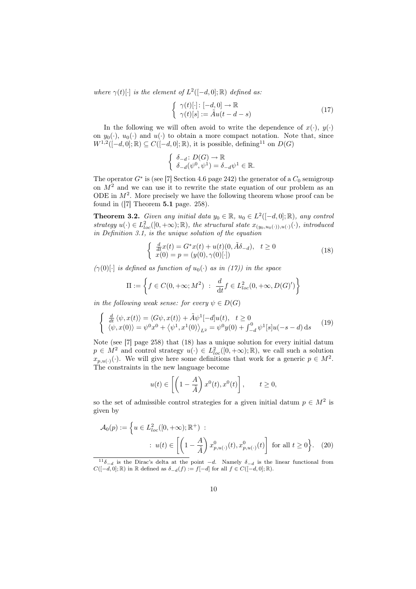where  $\gamma(t)[\cdot]$  is the element of  $L^2([-d,0];\mathbb{R})$  defined as:

$$
\begin{cases}\n\gamma(t)[\cdot]: [-d, 0] \to \mathbb{R} \\
\gamma(t)[s] := \tilde{A}u(t - d - s)\n\end{cases} \tag{17}
$$

In the following we will often avoid to write the dependence of  $x(\cdot), y(\cdot)$ on  $y_0(\cdot)$ ,  $u_0(\cdot)$  and  $u(\cdot)$  to obtain a more compact notation. Note that, since  $W^{1,2}([-d,0];\mathbb{R})\subseteq C([-d,0];\mathbb{R})$ , it is possible, defining<sup>11</sup> on  $D(G)$ 

$$
\begin{cases} \delta_{-d} \colon D(G) \to \mathbb{R} \\ \delta_{-d}(\psi^0, \psi^1) = \delta_{-d} \psi^1 \in \mathbb{R}. \end{cases}
$$

The operator  $G^*$  is (see [7] Section 4.6 page 242) the generator of a  $C_0$  semigroup on  $M<sup>2</sup>$  and we can use it to rewrite the state equation of our problem as an ODE in  $M^2$ . More precisely we have the following theorem whose proof can be found in  $([7]$  Theorem **5.1** page. 258).

**Theorem 3.2.** Given any initial data  $y_0 \in \mathbb{R}$ ,  $u_0 \in L^2([-d, 0]; \mathbb{R})$ , any control strategy  $u(\cdot) \in L^2_{loc}([0,+\infty);\mathbb{R})$ , the structural state  $x_{(y_0,u_0(\cdot)),u(\cdot)}(\cdot)$ , introduced in Definition 3.1, is the unique solution of the equation

$$
\begin{cases} \frac{d}{dt}x(t) = G^*x(t) + u(t)(0, \tilde{A}\delta_{-d}), \quad t \ge 0\\ x(0) = p = (y(0), \gamma(0)[\cdot]) \end{cases}
$$
\n(18)

 $(\gamma(0) \cdot \cdot)$  is defined as function of  $u_0(\cdot)$  as in (17)) in the space

$$
\Pi := \left\{ f \in C(0, +\infty; M^2) \ : \ \frac{d}{dt} f \in L^2_{loc}(0, +\infty, D(G)') \right\}
$$

in the following weak sense: for every  $\psi \in D(G)$ 

$$
\begin{cases}\n\frac{d}{dt}\langle\psi, x(t)\rangle = \langle G\psi, x(t)\rangle + \tilde{A}\psi^1[-d]u(t), \quad t \ge 0 \\
\langle\psi, x(0)\rangle = \psi^0 x^0 + \langle\psi^1, x^1(0)\rangle_{L^2} = \psi^0 y(0) + \int_{-d}^0 \psi^1[s]u(-s-d) \,ds\n\end{cases}
$$
\n(19)

Note (see [7] page 258) that (18) has a unique solution for every initial datum  $p \in M^2$  and control strategy  $u(\cdot) \in L^2_{loc}([0, +\infty); \mathbb{R})$ , we call such a solution  $x_{p,u(\cdot)}(\cdot)$ . We will give here some definitions that work for a generic  $p \in M^2$ . The constraints in the new language become

$$
u(t) \in \left[ \left( 1 - \frac{A}{\tilde{A}} \right) x^0(t), x^0(t) \right], \qquad t \ge 0,
$$

so the set of admissible control strategies for a given initial datum  $p \in M^2$  is given by

$$
\mathcal{A}_0(p) := \left\{ u \in L^2_{loc}([0, +\infty); \mathbb{R}^+): \right\}
$$
  
 
$$
\therefore u(t) \in \left[ \left( 1 - \frac{A}{\tilde{A}} \right) x_{p, u(\cdot)}^0(t), x_{p, u(\cdot)}^0(t) \right] \text{ for all } t \ge 0 \right\}. \tag{20}
$$

 $11\delta_{-d}$  is the Dirac's delta at the point  $-d$ . Namely  $\delta_{-d}$  is the linear functional from  $C([-d, 0]; \mathbb{R})$  in  $\mathbb R$  defined as  $\delta_{-d}(f) := f[-d]$  for all  $f \in C([-d, 0]; \mathbb{R})$ .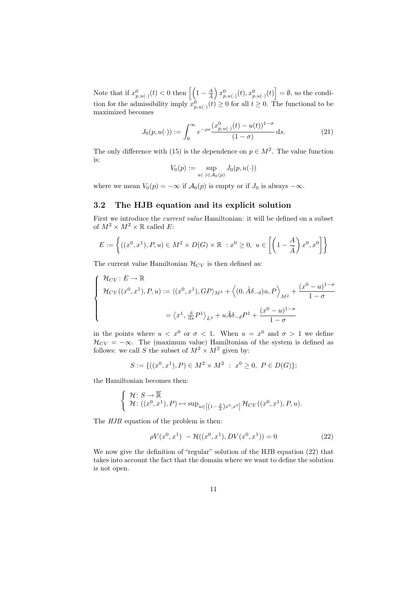Note that if  $x_{p,u(\cdot)}^0(t) < 0$  then  $\left[\left(1 - \frac{A}{\tilde{A}}\right)$  $\left[ x_{p,u(\cdot)}^0(t), x_{p,u(\cdot)}^0(t) \right] = \emptyset$ , so the condition for the admissibility imply  $x_{p,u(\cdot)}^0(t) \geq 0$  for all  $t \geq 0$ . The functional to be maximized becomes

$$
J_0(p, u(\cdot)) := \int_0^\infty e^{-\rho s} \frac{(x_{p, u(\cdot)}^0(t) - u(t))^{1-\sigma}}{(1-\sigma)} ds.
$$
 (21)

The only difference with (15) is the dependence on  $p \in M^2$ . The value function is:

$$
V_0(p) := \sup_{u(\cdot) \in \mathcal{A}_0(p)} J_0(p, u(\cdot))
$$

where we mean  $V_0(p) = -\infty$  if  $\mathcal{A}_0(p)$  is empty or if  $J_0$  is always  $-\infty$ .

#### 3.2 The HJB equation and its explicit solution

First we introduce the current value Hamiltonian: it will be defined on a subset of  $M^2 \times M^2 \times \mathbb{R}$  called E:

$$
E := \left\{ ((x^0, x^1), P, u) \in M^2 \times D(G) \times \mathbb{R} \ : x^0 \ge 0, \ u \in \left[ \left( 1 - \frac{A}{\tilde{A}} \right) x^0, x^0 \right] \right\}
$$

The current value Hamiltonian  $\mathcal{H}_{CV}$  is then defined as:

$$
\begin{cases}\n\mathcal{H}_{CV}: E \to \mathbb{R} \\
\mathcal{H}_{CV}((x^0, x^1), P, u) := \langle (x^0, x^1), GP \rangle_{M^2} + \langle (0, \tilde{A}\delta_{-d})u, P \rangle_{M^2} + \frac{(x^0 - u)^{1 - \sigma}}{1 - \sigma} \\
= \langle x^1, \frac{d}{ds} P^1 \rangle_{L^2} + u \tilde{A} \delta_{-d} P^1 + \frac{(x^0 - u)^{1 - \sigma}}{1 - \sigma}\n\end{cases}
$$

in the points where  $u < x^0$  or  $\sigma < 1$ . When  $u = x^0$  and  $\sigma > 1$  we define  $\mathcal{H}_{CV} = -\infty$ . The (maximum value) Hamiltonian of the system is defined as follows: we call S the subset of  $M^2 \times M^2$  given by:

$$
S := \{ ((x^0, x^1), P) \in M^2 \times M^2 \ : \ x^0 \ge 0, \ P \in D(G) \};
$$

the Hamiltonian becomes then:

$$
\begin{cases} \mathcal{H}: S \to \overline{\mathbb{R}} \\ \mathcal{H}: ((x^0, x^1), P) \mapsto \sup_{u \in [(1-\frac{A}{A})x^0, x^0]} \mathcal{H}_{CV}((x^0, x^1), P, u). \end{cases}
$$

The  $HJB$  equation of the problem is then:

$$
\rho V(x^0, x^1) - \mathcal{H}((x^0, x^1), DV(x^0, x^1)) = 0
$$
\n(22)

We now give the definition of "regular" solution of the HJB equation (22) that takes into account the fact that the domain where we want to define the solution is not open.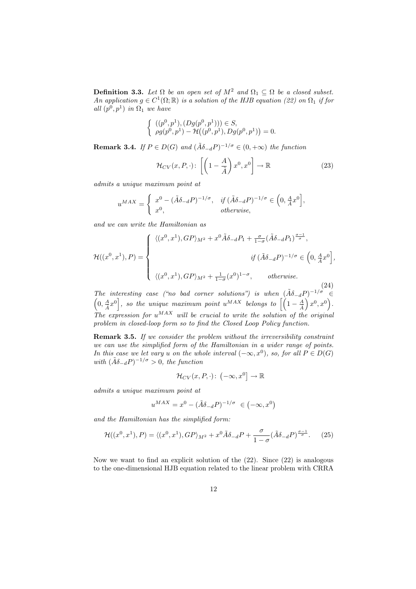**Definition 3.3.** Let  $\Omega$  be an open set of  $M^2$  and  $\Omega_1 \subseteq \Omega$  be a closed subset. An application  $g \in C^1(\Omega;\mathbb{R})$  is a solution of the HJB equation (22) on  $\Omega_1$  if for all  $(p^0, p^1)$  in  $\Omega_1$  we have

$$
\begin{cases} ((p^0, p^1), (Dg(p^0, p^1))) \in S, \\ \rho g(p^0, p^1) - \mathcal{H}((p^0, p^1), Dg(p^0, p^1)) = 0. \end{cases}
$$

**Remark 3.4.** If  $P \in D(G)$  and  $(\tilde{A}\delta_{-d}P)^{-1/\sigma} \in (0, +\infty)$  the function

$$
\mathcal{H}_{CV}(x, P, \cdot): \left[ \left( 1 - \frac{A}{\tilde{A}} \right) x^0, x^0 \right] \to \mathbb{R}
$$
 (23)

admits a unique maximum point at

$$
u^{MAX} = \begin{cases} x^0 - (\tilde{A}\delta_{-d}P)^{-1/\sigma}, & \text{if } (\tilde{A}\delta_{-d}P)^{-1/\sigma} \in \left(0, \frac{A}{\tilde{A}}x^0\right], \\ x^0, & \text{otherwise,} \end{cases}
$$

and we can write the Hamiltonian as

$$
\mathcal{H}((x^0, x^1), P) = \begin{cases} \langle (x^0, x^1), GP \rangle_{M^2} + x^0 \tilde{A} \delta_{-d} P_1 + \frac{\sigma}{1 - \sigma} (\tilde{A} \delta_{-d} P_1)^{\frac{\sigma - 1}{\sigma}}, \\ \qquad \qquad \text{if } (\tilde{A} \delta_{-d} P)^{-1/\sigma} \in \left(0, \frac{A}{A} x^0\right], \\ \langle (x^0, x^1), GP \rangle_{M^2} + \frac{1}{1 - \sigma} (x^0)^{1 - \sigma}, \qquad \text{otherwise.} \end{cases}
$$
(24)

The interesting case ("no bad corner solutions") is when  $(\tilde{A}\delta_{-d}P)^{-1/\sigma} \in$  $\left(0, \frac{A}{A}x^0\right]$ , so the unique maximum point  $u^{MAX}$  belongs to  $\left[\left(1-\frac{A}{A}\right)^{N}$  $\Big(x^0, x^0\Big).$  $\overrightarrow{The}$  expression for  $u^{MAX}$  will be crucial to write the solution of the original problem in closed-loop form so to find the Closed Loop Policy function.

Remark 3.5. If we consider the problem without the irreversibility constraint we can use the simplified form of the Hamiltonian in a wider range of points. In this case we let vary u on the whole interval  $(-\infty, x^0)$ , so, for all  $P \in D(G)$ with  $(\tilde{A}\delta_{-d}P)^{-1/\sigma} > 0$ , the function

$$
\mathcal{H}_{CV}(x,P,\cdot)\colon \left(-\infty,x^{0}\right]\to\mathbb{R}
$$

admits a unique maximum point at

$$
u^{MAX} = x^0 - (\tilde{A}\delta_{-d}P)^{-1/\sigma} \in (-\infty, x^0)
$$

and the Hamiltonian has the simplified form:

$$
\mathcal{H}((x^0, x^1), P) = \langle (x^0, x^1), GP \rangle_{M^2} + x^0 \tilde{A} \delta_{-d} P + \frac{\sigma}{1 - \sigma} (\tilde{A} \delta_{-d} P)^{\frac{\sigma - 1}{\sigma}}. \tag{25}
$$

Now we want to find an explicit solution of the (22). Since (22) is analogous to the one-dimensional HJB equation related to the linear problem with CRRA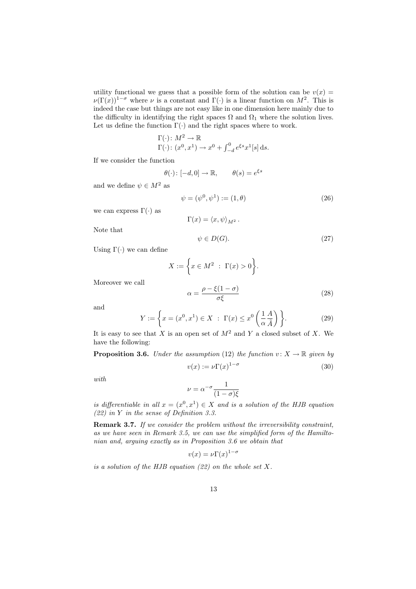utility functional we guess that a possible form of the solution can be  $v(x) =$  $\nu(\Gamma(x))^{1-\sigma}$  where  $\nu$  is a constant and  $\Gamma(\cdot)$  is a linear function on  $M^2$ . This is indeed the case but things are not easy like in one dimension here mainly due to the difficulty in identifying the right spaces  $\Omega$  and  $\Omega_1$  where the solution lives. Let us define the function  $\Gamma(\cdot)$  and the right spaces where to work.

$$
\Gamma(\cdot) \colon M^2 \to \mathbb{R}
$$
  

$$
\Gamma(\cdot) \colon (x^0, x^1) \to x^0 + \int_{-d}^0 e^{\xi s} x^1[s] \, \mathrm{d}s.
$$

If we consider the function

$$
\theta(\cdot) \colon [-d, 0] \to \mathbb{R}, \qquad \theta(s) = e^{\xi s}
$$

and we define  $\psi \in M^2$  as

$$
\psi = (\psi^0, \psi^1) := (1, \theta) \tag{26}
$$

we can express  $\Gamma(\cdot)$  as

$$
\Gamma(x) = \langle x, \psi \rangle_{M^2}.
$$

Note that

$$
\psi \in D(G). \tag{27}
$$

Using  $\Gamma(\cdot)$  we can define

$$
X := \left\{ x \in M^2 \; : \; \Gamma(x) > 0 \right\}.
$$
\n
$$
\alpha - \frac{\rho - \xi(1 - \sigma)}{\sigma^2} \tag{28}
$$

Moreover we call

$$
\alpha = \frac{p - \zeta(1 - b)}{\sigma \xi} \tag{28}
$$

and

$$
Y := \left\{ x = (x^0, x^1) \in X \; : \; \Gamma(x) \le x^0 \left( \frac{1}{\alpha} \frac{A}{\tilde{A}} \right) \right\}.
$$
 (29)

It is easy to see that X is an open set of  $M^2$  and Y a closed subset of X. We have the following:

**Proposition 3.6.** Under the assumption (12) the function  $v: X \to \mathbb{R}$  given by  $v(x) := \nu \Gamma(x)^{1-\sigma}$ (30)

with

$$
\nu = \alpha^{-\sigma} \frac{1}{(1-\sigma)\xi}
$$

is differentiable in all  $x = (x^0, x^1) \in X$  and is a solution of the HJB equation (22) in Y in the sense of Definition 3.3.

Remark 3.7. If we consider the problem without the irreversibility constraint, as we have seen in Remark 3.5, we can use the simplified form of the Hamiltonian and, arguing exactly as in Proposition 3.6 we obtain that

$$
v(x) = \nu \Gamma(x)^{1-\sigma}
$$

is a solution of the HJB equation  $(22)$  on the whole set X.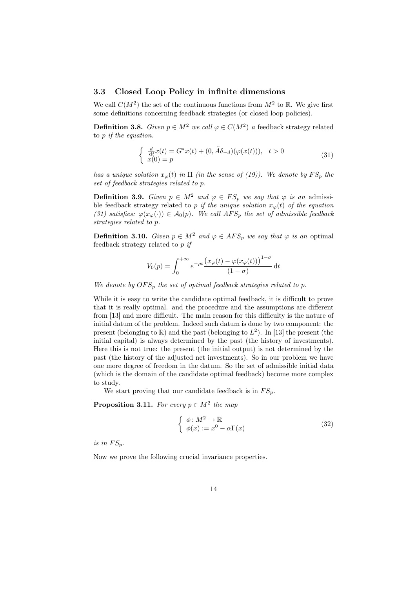#### 3.3 Closed Loop Policy in infinite dimensions

We call  $C(M^2)$  the set of the continuous functions from  $M^2$  to R. We give first some definitions concerning feedback strategies (or closed loop policies).

**Definition 3.8.** Given  $p \in M^2$  we call  $\varphi \in C(M^2)$  a feedback strategy related to p if the equation.

$$
\begin{cases} \frac{d}{dt}x(t) = G^*x(t) + (0, \tilde{A}\delta_{-d})(\varphi(x(t))), & t > 0\\ x(0) = p \end{cases}
$$
\n(31)

has a unique solution  $x_{\varphi}(t)$  in  $\Pi$  (in the sense of (19)). We denote by  $FS_p$  the set of feedback strategies related to p.

**Definition 3.9.** Given  $p \in M^2$  and  $\varphi \in FS_p$  we say that  $\varphi$  is an admissible feedback strategy related to p if the unique solution  $x_{\varphi}(t)$  of the equation (31) satisfies:  $\varphi(x_{\varphi}(\cdot)) \in \mathcal{A}_0(p)$ . We call  $AFS_p$  the set of admissible feedback strategies related to p.

**Definition 3.10.** Given  $p \in M^2$  and  $\varphi \in AFS_p$  we say that  $\varphi$  is an optimal feedback strategy related to p if

$$
V_0(p) = \int_0^{+\infty} e^{-\rho t} \frac{\left(x_\varphi(t) - \varphi(x_\varphi(t))\right)^{1-\sigma}}{(1-\sigma)} dt
$$

We denote by  $OFS_p$  the set of optimal feedback strategies related to p.

While it is easy to write the candidate optimal feedback, it is difficult to prove that it is really optimal. and the procedure and the assumptions are different from [13] and more difficult. The main reason for this difficulty is the nature of initial datum of the problem. Indeed such datum is done by two component: the present (belonging to  $\mathbb{R}$ ) and the past (belonging to  $L^2$ ). In [13] the present (the initial capital) is always determined by the past (the history of investments). Here this is not true: the present (the initial output) is not determined by the past (the history of the adjusted net investments). So in our problem we have one more degree of freedom in the datum. So the set of admissible initial data (which is the domain of the candidate optimal feedback) become more complex to study.

We start proving that our candidate feedback is in  $FS_p$ .

**Proposition 3.11.** For every  $p \in M^2$  the map

$$
\begin{cases} \phi \colon M^2 \to \mathbb{R} \\ \phi(x) := x^0 - \alpha \Gamma(x) \end{cases} \tag{32}
$$

is in  $FS_p$ .

Now we prove the following crucial invariance properties.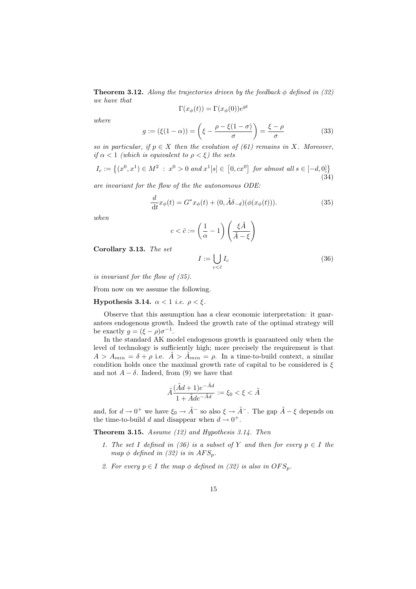**Theorem 3.12.** Along the trajectories driven by the feedback  $\phi$  defined in (32) we have that gt

$$
\Gamma(x_{\phi}(t)) = \Gamma(x_{\phi}(0))e^{9}
$$

where

$$
g := (\xi(1 - \alpha)) = \left(\xi - \frac{\rho - \xi(1 - \sigma)}{\sigma}\right) = \frac{\xi - \rho}{\sigma}
$$
\n(33)

so in particular, if  $p \in X$  then the evolution of (61) remains in X. Moreover, if  $\alpha < 1$  (which is equivalent to  $\rho < \xi$ ) the sets

$$
I_c := \left\{ (x^0, x^1) \in M^2 \; : \; x^0 > 0 \; and \; x^1[s] \in [0, cx^0] \; for \; almost \; all \; s \in [-d, 0] \right\} \tag{34}
$$

are invariant for the flow of the the autonomous ODE:

$$
\frac{d}{dt}x_{\phi}(t) = G^*x_{\phi}(t) + (0, \tilde{A}\delta_{-d})(\phi(x_{\phi}(t))).
$$
\n(35)

when

$$
c < \bar{c} := \left(\frac{1}{\alpha} - 1\right) \left(\frac{\xi \tilde{A}}{\tilde{A} - \xi}\right)
$$

Corollary 3.13. The set

$$
I := \bigcup_{c < \bar{c}} I_c \tag{36}
$$

is invariant for the flow of (35).

From now on we assume the following.

Hypothesis 3.14.  $\alpha < 1$  *i.e.*  $\rho < \xi$ .

Observe that this assumption has a clear economic interpretation: it guarantees endogenous growth. Indeed the growth rate of the optimal strategy will be exactly  $g = (\xi - \rho)\sigma^{-1}$ .

In the standard AK model endogenous growth is guaranteed only when the level of technology is sufficiently high; more precisely the requirement is that  $A > A_{min} = \delta + \rho$  i.e.  $\tilde{A} > \tilde{A}_{min} = \rho$ . In a time-to-build context, a similar condition holds once the maximal growth rate of capital to be considered is  $\xi$ and not  $A - \delta$ . Indeed, from (9) we have that

$$
\tilde{A}\frac{(\tilde{A}d+1)e^{-\tilde{A}d}}{1+\tilde{A}de^{-\tilde{A}d}}:=\xi_0<\xi<\tilde{A}
$$

and, for  $d \to 0^+$  we have  $\xi_0 \to \tilde{A}^-$  so also  $\xi \to \tilde{A}^-$ . The gap  $\tilde{A} - \xi$  depends on the time-to-build d and disappear when  $d \to 0^+$ .

**Theorem 3.15.** Assume  $(12)$  and Hypothesis 3.14. Then

- 1. The set I defined in (36) is a subset of Y and then for every  $p \in I$  the map  $\phi$  defined in (32) is in AFS<sub>p</sub>.
- 2. For every  $p \in I$  the map  $\phi$  defined in (32) is also in  $OFS_p$ .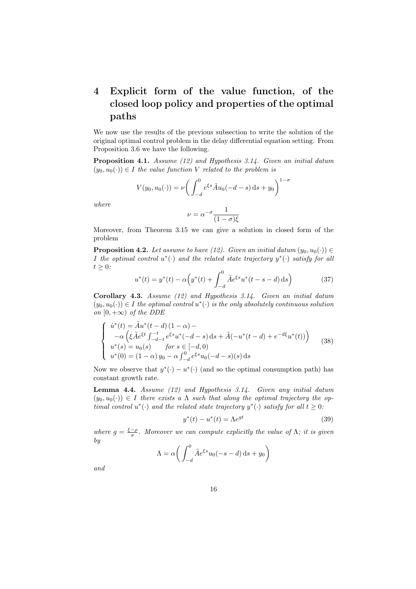## 4 Explicit form of the value function, of the closed loop policy and properties of the optimal paths

We now use the results of the previous subsection to write the solution of the original optimal control problem in the delay differential equation setting. From Proposition 3.6 we have the following.

Proposition 4.1. Assume (12) and Hypothesis 3.14. Given an initial datum  $(y_0, u_0(\cdot)) \in I$  the value function V related to the problem is

$$
V(y_0, u_0(\cdot)) = \nu \bigg( \int_{-d}^{0} e^{\xi s} \tilde{A} u_0(-d-s) \, ds + y_0 \bigg)^{1-\sigma}
$$

where

$$
\nu = \alpha^{-\sigma} \frac{1}{(1 - \sigma)\xi}
$$

Moreover, from Theorem 3.15 we can give a solution in closed form of the problem

**Proposition 4.2.** Let assume to have (12). Given an initial datum  $(y_0, u_0(\cdot)) \in$ I the optimal control  $u^*(\cdot)$  and the related state trajectory  $y^*(\cdot)$  satisfy for all  $t \geq 0$ :

$$
u^*(t) = y^*(t) - \alpha \left( y^*(t) + \int_{-d}^0 \tilde{A} e^{\xi s} u^*(t - s - d) \, \mathrm{d}s \right) \tag{37}
$$

Corollary 4.3. Assume (12) and Hypothesis 3.14. Given an initial datum  $(y_0, u_0(\cdot)) \in I$  the optimal control  $u^*(\cdot)$  is the only absolutely continuous solution on  $[0, +\infty)$  of the DDE

$$
\begin{cases}\n\dot{u}^*(t) = \tilde{A}u^*(t-d)(1-\alpha) - \\
-\alpha \left( \xi \tilde{A}e^{\xi t} \int_{-d-t}^{-t} e^{\xi s} u^*(-d-s) ds + \tilde{A}(-u^*(t-d) + e^{-d\xi} u^*(t)) \right) \\
u^*(s) = u_0(s) \qquad \text{for } s \in [-d, 0) \\
u^*(0) = (1-\alpha) y_0 - \alpha \int_{-d}^{0} e^{\xi s} u_0(-d-s)(s) ds\n\end{cases}
$$
\n(38)

Now we observe that  $y^*(\cdot) - u^*(\cdot)$  (and so the optimal consumption path) has constant growth rate.

Lemma 4.4. Assume (12) and Hypothesis 3.14. Given any initial datum  $(y_0, u_0(\cdot)) \in I$  there exists a  $\Lambda$  such that along the optimal trajectory the optimal control  $u^*(\cdot)$  and the related state trajectory  $y^*(\cdot)$  satisfy for all  $t \geq 0$ .

$$
y^*(t) - u^*(t) = \Lambda e^{gt} \tag{39}
$$

where  $g = \frac{\xi - \rho}{\sigma}$ . Moreover we can compute explicitly the value of  $\Lambda$ ; it is given by

$$
\Lambda = \alpha \bigg( \int_{-d}^{0} \tilde{A} e^{\xi s} u_0(-s - d) \, \mathrm{d} s + y_0 \bigg)
$$

and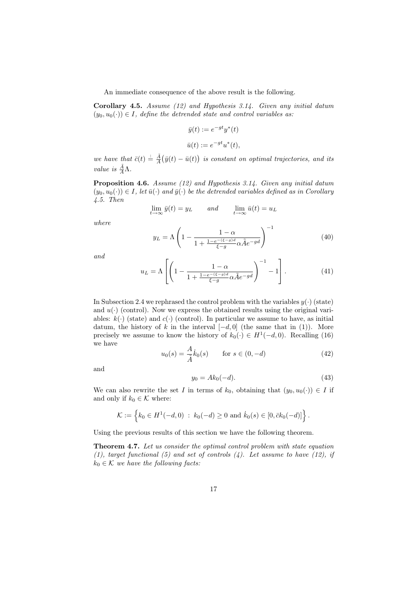An immediate consequence of the above result is the following.

**Corollary 4.5.** Assume (12) and Hypothesis 3.14. Given any initial datum  $(y_0, u_0(\cdot)) \in I$ , define the detrended state and control variables as:

$$
\bar{y}(t) := e^{-gt}y^*(t)
$$
  

$$
\bar{u}(t) := e^{-gt}u^*(t),
$$

we have that  $\bar{c}(t) \doteq \frac{\tilde{A}}{A}(\bar{y}(t) - \bar{u}(t))$  is constant on optimal trajectories, and its value is  $\frac{\tilde{A}}{A}$  $\Lambda$ .

Proposition 4.6. Assume (12) and Hypothesis 3.14. Given any initial datum  $(y_0, u_0(\cdot)) \in I$ , let  $\bar{u}(\cdot)$  and  $\bar{y}(\cdot)$  be the detrended variables defined as in Corollary 4.5. Then

$$
\lim_{t \to \infty} \bar{y}(t) = y_L \qquad and \qquad \lim_{t \to \infty} \bar{u}(t) = u_L
$$

where

$$
y_L = \Lambda \left( 1 - \frac{1 - \alpha}{1 + \frac{1 - e^{-\left(\xi - g\right)d}}{\xi - g} \alpha \tilde{A} e^{-g d}} \right)^{-1} \tag{40}
$$

and

$$
u_L = \Lambda \left[ \left( 1 - \frac{1 - \alpha}{1 + \frac{1 - e^{-\left(\xi - g\right)d}}{\xi - g} \alpha \tilde{A} e^{-g d}} \right)^{-1} - 1 \right]. \tag{41}
$$

In Subsection 2.4 we rephrased the control problem with the variables  $y(\cdot)$  (state) and  $u(\cdot)$  (control). Now we express the obtained results using the original variables:  $k(.)$  (state) and  $c(.)$  (control). In particular we assume to have, as initial datum, the history of k in the interval  $[-d, 0]$  (the same that in (1)). More precisely we assume to know the history of  $k_0(\cdot) \in H^1(-d,0)$ . Recalling (16) we have

$$
u_0(s) = \frac{A}{\tilde{A}} \dot{k}_0(s) \quad \text{for } s \in (0, -d)
$$
 (42)

and

$$
y_0 = Ak_0(-d). \t\t(43)
$$

We can also rewrite the set I in terms of  $k_0$ , obtaining that  $(y_0, u_0(\cdot)) \in I$  if and only if  $k_0 \in \mathcal{K}$  where:

$$
\mathcal{K} := \left\{ k_0 \in H^1(-d,0) : k_0(-d) \ge 0 \text{ and } k_0(s) \in [0,\bar{c}k_0(-d)] \right\}.
$$

Using the previous results of this section we have the following theorem.

Theorem 4.7. Let us consider the optimal control problem with state equation (1), target functional (5) and set of controls  $(4)$ . Let assume to have (12), if  $k_0 \in \mathcal{K}$  we have the following facts: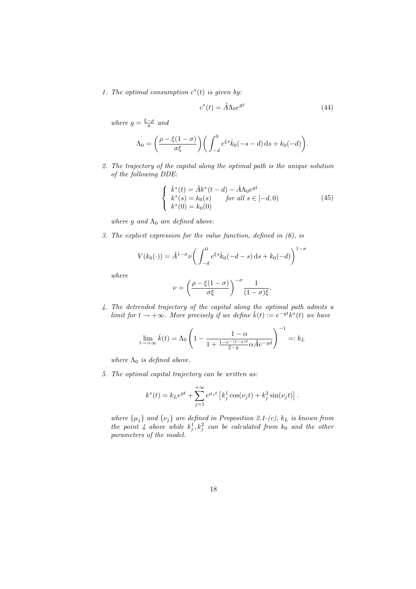1. The optimal consumption  $c^*(t)$  is given by:

$$
c^*(t) = \tilde{A}\Lambda_0 e^{gt} \tag{44}
$$

where  $g = \frac{\xi - \rho}{\sigma}$  and

$$
\Lambda_0 = \left(\frac{\rho - \xi(1-\sigma)}{\sigma \xi}\right) \left(\int_{-d}^0 e^{\xi s} \dot{k}_0(-s-d) \,ds + k_0(-d)\right).
$$

2. The trajectory of the capital along the optimal path is the unique solution of the following DDE:

$$
\begin{cases}\n\dot{k}^*(t) = \tilde{A}k^*(t - d) - \tilde{A}\Lambda_0 e^{gt} \\
k^*(s) = k_0(s) \quad \text{for all } s \in [-d, 0) \\
k^*(0) = k_0(0)\n\end{cases} \tag{45}
$$

where g and  $\Lambda_0$  are defined above.

3. The explicit expression for the value function, defined in (6), is

$$
V(k_0(\cdot)) = \tilde{A}^{1-\sigma} \nu \bigg( \int_{-d}^{0} e^{\xi s} \dot{k}_0(-d-s) \, \mathrm{d} s + k_0(-d) \bigg)^{1-\sigma}
$$

where

$$
\nu = \left(\frac{\rho - \xi(1-\sigma)}{\sigma\xi}\right)^{-\sigma} \frac{1}{(1-\sigma)\xi}.
$$

4. The detrended trajectory of the capital along the optimal path admits a limit for  $t \to +\infty$ . More precisely if we define  $\bar{k}(t) := e^{-gt}k^*(t)$  we have

$$
\lim_{t \to +\infty} \bar{k}(t) = \Lambda_0 \left( 1 - \frac{1 - \alpha}{1 + \frac{1 - e^{-(\xi - g)d}}{\xi - g} \alpha \tilde{A} e^{-g d}} \right)^{-1} =: k_L
$$

where  $\Lambda_0$  is defined above.

5. The optimal capital trajectory can be written as:

$$
k^{*}(t) = k_{L}e^{gt} + \sum_{j=1}^{+\infty} e^{\mu_{j}t} \left[ k_{j}^{1} \cos(\nu_{j}t) + k_{j}^{2} \sin(\nu_{j}t) \right].
$$

where  $\{\mu_j\}$  and  $\{\nu_j\}$  are defined in Proposition 2.1-(c),  $k_L$  is known from the point 4 above while  $k_j^1, k_j^2$  can be calculated from  $k_0$  and the other parameters of the model.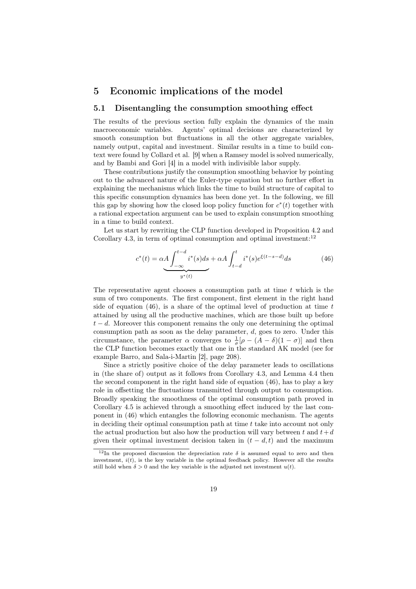## 5 Economic implications of the model

#### 5.1 Disentangling the consumption smoothing effect

The results of the previous section fully explain the dynamics of the main macroeconomic variables. Agents' optimal decisions are characterized by smooth consumption but fluctuations in all the other aggregate variables, namely output, capital and investment. Similar results in a time to build context were found by Collard et al. [9] when a Ramsey model is solved numerically, and by Bambi and Gori [4] in a model with indivisible labor supply.

These contributions justify the consumption smoothing behavior by pointing out to the advanced nature of the Euler-type equation but no further effort in explaining the mechanisms which links the time to build structure of capital to this specific consumption dynamics has been done yet. In the following, we fill this gap by showing how the closed loop policy function for  $c^*(t)$  together with a rational expectation argument can be used to explain consumption smoothing in a time to build context.

Let us start by rewriting the CLP function developed in Proposition 4.2 and Corollary 4.3, in term of optimal consumption and optimal investment: $12$ 

$$
c^*(t) = \alpha A \underbrace{\int_{-\infty}^{t-d} i^*(s) ds}_{y^*(t)} + \alpha A \int_{t-d}^t i^*(s) e^{\xi(t-s-d)} ds
$$
 (46)

The representative agent chooses a consumption path at time  $t$  which is the sum of two components. The first component, first element in the right hand side of equation  $(46)$ , is a share of the optimal level of production at time t attained by using all the productive machines, which are those built up before  $t - d$ . Moreover this component remains the only one determining the optimal consumption path as soon as the delay parameter,  $d$ , goes to zero. Under this circumstance, the parameter  $\alpha$  converges to  $\frac{1}{\sigma}[\rho - (A - \delta)(1 - \sigma)]$  and then the CLP function becomes exactly that one in the standard AK model (see for example Barro, and Sala-i-Martin [2], page 208).

Since a strictly positive choice of the delay parameter leads to oscillations in (the share of) output as it follows from Corollary 4.3, and Lemma 4.4 then the second component in the right hand side of equation (46), has to play a key role in offsetting the fluctuations transmitted through output to consumption. Broadly speaking the smoothness of the optimal consumption path proved in Corollary 4.5 is achieved through a smoothing effect induced by the last component in (46) which entangles the following economic mechanism. The agents in deciding their optimal consumption path at time  $t$  take into account not only the actual production but also how the production will vary between t and  $t+d$ given their optimal investment decision taken in  $(t - d, t)$  and the maximum

<sup>&</sup>lt;sup>12</sup>In the proposed discussion the depreciation rate  $\delta$  is assumed equal to zero and then investment,  $i(t)$ , is the key variable in the optimal feedback policy. However all the results still hold when  $\delta > 0$  and the key variable is the adjusted net investment  $u(t)$ .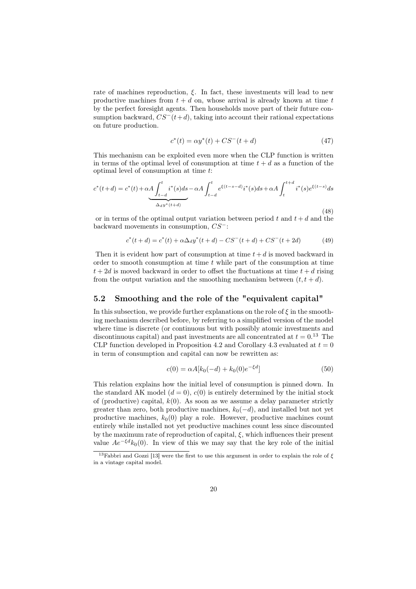rate of machines reproduction,  $\xi$ . In fact, these investments will lead to new productive machines from  $t + d$  on, whose arrival is already known at time t by the perfect foresight agents. Then households move part of their future consumption backward,  $CS^{-}(t+d)$ , taking into account their rational expectations on future production.

$$
c^*(t) = \alpha y^*(t) + CS^-(t + d)
$$
\n(47)

This mechanism can be exploited even more when the CLP function is written in terms of the optimal level of consumption at time  $t + d$  as a function of the optimal level of consumption at time t:

$$
c^*(t+d) = c^*(t) + \alpha A \int_{t-d}^t i^*(s)ds - \alpha A \int_{t-d}^t e^{\xi(t-s-d)} i^*(s)ds + \alpha A \int_t^{t+d} i^*(s)e^{\xi(t-s)}ds
$$
  

$$
\Delta_d y^*(t+d)
$$
\n(48)

or in terms of the optimal output variation between period  $t$  and  $t + d$  and the backward movements in consumption, CS<sup>−</sup>:

$$
c^*(t+d) = c^*(t) + \alpha \Delta_d y^*(t+d) - CS^-(t+d) + CS^-(t+2d)
$$
 (49)

Then it is evident how part of consumption at time  $t + d$  is moved backward in order to smooth consumption at time  $t$  while part of the consumption at time  $t + 2d$  is moved backward in order to offset the fluctuations at time  $t + d$  rising from the output variation and the smoothing mechanism between  $(t, t + d)$ .

#### 5.2 Smoothing and the role of the "equivalent capital"

In this subsection, we provide further explanations on the role of  $\xi$  in the smoothing mechanism described before, by referring to a simplified version of the model where time is discrete (or continuous but with possibly atomic investments and discontinuous capital) and past investments are all concentrated at  $t = 0.13$  The CLP function developed in Proposition 4.2 and Corollary 4.3 evaluated at  $t = 0$ in term of consumption and capital can now be rewritten as:

$$
c(0) = \alpha A[k_0(-d) + k_0(0)e^{-\xi d}]
$$
\n(50)

This relation explains how the initial level of consumption is pinned down. In the standard AK model  $(d = 0)$ ,  $c(0)$  is entirely determined by the initial stock of (productive) capital,  $k(0)$ . As soon as we assume a delay parameter strictly greater than zero, both productive machines,  $k_0(-d)$ , and installed but not yet productive machines,  $k_0(0)$  play a role. However, productive machines count entirely while installed not yet productive machines count less since discounted by the maximum rate of reproduction of capital,  $\xi$ , which influences their present value  $Ae^{-\xi d}k_0(0)$ . In view of this we may say that the key role of the initial

<sup>&</sup>lt;sup>13</sup>Fabbri and Gozzi [13] were the first to use this argument in order to explain the role of  $\xi$ in a vintage capital model.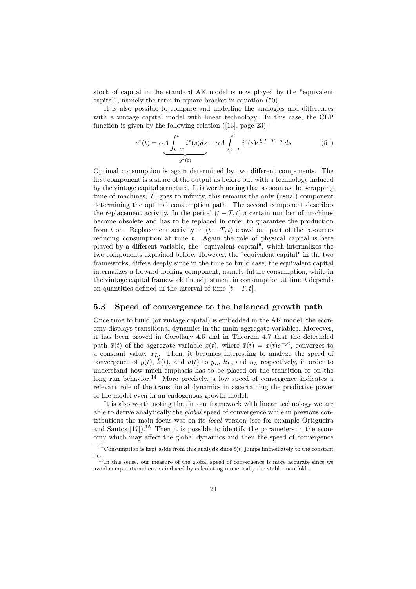stock of capital in the standard AK model is now played by the "equivalent capital", namely the term in square bracket in equation (50).

It is also possible to compare and underline the analogies and differences with a vintage capital model with linear technology. In this case, the CLP function is given by the following relation ([13], page 23):

$$
c^*(t) = \alpha A \underbrace{\int_{t-T}^t i^*(s) ds}_{y^*(t)} - \alpha A \int_{t-T}^t i^*(s) e^{\xi(t-T-s)} ds
$$
(51)

Optimal consumption is again determined by two different components. The first component is a share of the output as before but with a technology induced by the vintage capital structure. It is worth noting that as soon as the scrapping time of machines,  $T$ , goes to infinity, this remains the only (usual) component determining the optimal consumption path. The second component describes the replacement activity. In the period  $(t - T, t)$  a certain number of machines become obsolete and has to be replaced in order to guarantee the production from t on. Replacement activity in  $(t - T, t)$  crowd out part of the resources reducing consumption at time  $t$ . Again the role of physical capital is here played by a different variable, the "equivalent capital", which internalizes the two components explained before. However, the "equivalent capital" in the two frameworks, differs deeply since in the time to build case, the equivalent capital internalizes a forward looking component, namely future consumption, while in the vintage capital framework the adjustment in consumption at time  $t$  depends on quantities defined in the interval of time  $[t - T, t]$ .

#### 5.3 Speed of convergence to the balanced growth path

Once time to build (or vintage capital) is embedded in the AK model, the economy displays transitional dynamics in the main aggregate variables. Moreover, it has been proved in Corollary 4.5 and in Theorem 4.7 that the detrended path  $\bar{x}(t)$  of the aggregate variable  $x(t)$ , where  $\bar{x}(t) = x(t)e^{-gt}$ , converges to a constant value,  $x_L$ . Then, it becomes interesting to analyze the speed of convergence of  $\bar{y}(t)$ ,  $\bar{k}(t)$ , and  $\bar{u}(t)$  to  $y_L$ ,  $k_L$ , and  $u_L$  respectively, in order to understand how much emphasis has to be placed on the transition or on the long run behavior.<sup>14</sup> More precisely, a low speed of convergence indicates a relevant role of the transitional dynamics in ascertaining the predictive power of the model even in an endogenous growth model.

It is also worth noting that in our framework with linear technology we are able to derive analytically the global speed of convergence while in previous contributions the main focus was on its local version (see for example Ortigueira and Santos  $[17]$ .<sup>15</sup> Then it is possible to identify the parameters in the economy which may affect the global dynamics and then the speed of convergence

<sup>&</sup>lt;sup>14</sup>Consumption is kept aside from this analysis since  $\bar{c}(t)$  jumps immediately to the constant  $c_L$ .<br><sup>15</sup>In this sense, our measure of the global speed of convergence is more accurate since we

avoid computational errors induced by calculating numerically the stable manifold.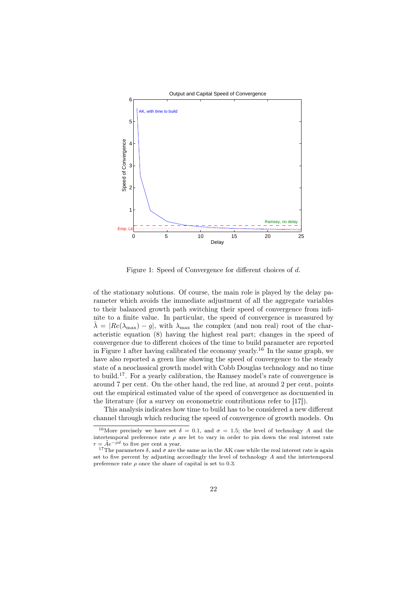

Figure 1: Speed of Convergence for different choices of d.

of the stationary solutions. Of course, the main role is played by the delay parameter which avoids the immediate adjustment of all the aggregate variables to their balanced growth path switching their speed of convergence from infinite to a finite value. In particular, the speed of convergence is measured by  $\hat{\lambda} = |Re(\lambda_{\text{max}}) - g|$ , with  $\lambda_{\text{max}}$  the complex (and non real) root of the characteristic equation (8) having the highest real part; changes in the speed of convergence due to different choices of the time to build parameter are reported in Figure 1 after having calibrated the economy yearly.<sup>16</sup> In the same graph, we have also reported a green line showing the speed of convergence to the steady state of a neoclassical growth model with Cobb Douglas technology and no time to build.<sup>17</sup>. For a yearly calibration, the Ramsey model's rate of convergence is around 7 per cent. On the other hand, the red line, at around 2 per cent, points out the empirical estimated value of the speed of convergence as documented in the literature (for a survey on econometric contributions refer to [17]).

This analysis indicates how time to build has to be considered a new different channel through which reducing the speed of convergence of growth models. On

<sup>&</sup>lt;sup>16</sup>More precisely we have set  $\delta = 0.1$ , and  $\sigma = 1.5$ ; the level of technology A and the intertemporal preference rate  $\rho$  are let to vary in order to pin down the real interest rate  $r = \tilde{A}e^{-\rho d}$  to five per cent a year.

<sup>&</sup>lt;sup>17</sup>The parameters  $\delta$ , and  $\sigma$  are the same as in the AK case while the real interest rate is again set to five percent by adjusting accordingly the level of technology A and the intertemporal preference rate  $\rho$  once the share of capital is set to 0.3.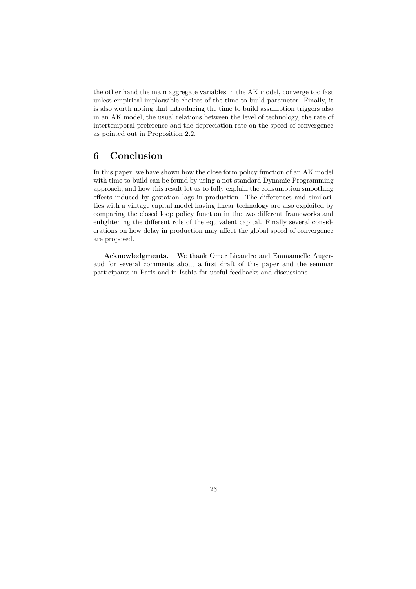the other hand the main aggregate variables in the AK model, converge too fast unless empirical implausible choices of the time to build parameter. Finally, it is also worth noting that introducing the time to build assumption triggers also in an AK model, the usual relations between the level of technology, the rate of intertemporal preference and the depreciation rate on the speed of convergence as pointed out in Proposition 2.2.

## 6 Conclusion

In this paper, we have shown how the close form policy function of an AK model with time to build can be found by using a not-standard Dynamic Programming approach, and how this result let us to fully explain the consumption smoothing effects induced by gestation lags in production. The differences and similarities with a vintage capital model having linear technology are also exploited by comparing the closed loop policy function in the two different frameworks and enlightening the different role of the equivalent capital. Finally several considerations on how delay in production may affect the global speed of convergence are proposed.

Acknowledgments. We thank Omar Licandro and Emmanuelle Augeraud for several comments about a first draft of this paper and the seminar participants in Paris and in Ischia for useful feedbacks and discussions.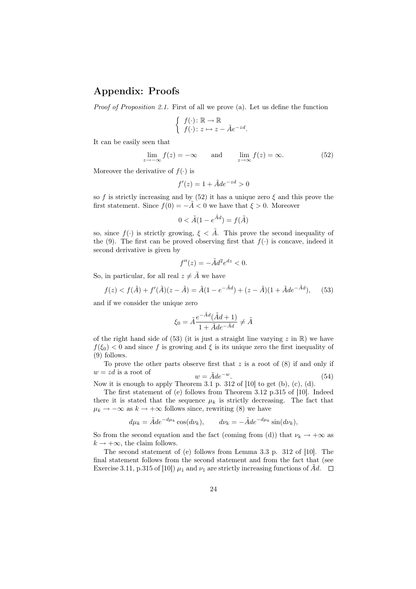## Appendix: Proofs

Proof of Proposition 2.1. First of all we prove (a). Let us define the function

$$
\begin{cases} f(\cdot) \colon \mathbb{R} \to \mathbb{R} \\ f(\cdot) \colon z \mapsto z - \tilde{A}e^{-zd} .\end{cases}
$$

It can be easily seen that

$$
\lim_{z \to -\infty} f(z) = -\infty \quad \text{and} \quad \lim_{z \to \infty} f(z) = \infty. \tag{52}
$$

Moreover the derivative of  $f(.)$  is

$$
f'(z) = 1 + \tilde{A}de^{-z} \ge 0
$$

so f is strictly increasing and by (52) it has a unique zero  $\xi$  and this prove the first statement. Since  $f(0) = -\tilde{A} < 0$  we have that  $\xi > 0$ . Moreover

$$
0 < \tilde{A}(1 - e^{\tilde{A}d}) = f(\tilde{A})
$$

so, since  $f(\cdot)$  is strictly growing,  $\xi < \tilde{A}$ . This prove the second inequality of the (9). The first can be proved observing first that  $f(.)$  is concave, indeed it second derivative is given by

$$
f''(z) = -\tilde{A}d^2e^{dz} < 0.
$$

So, in particular, for all real  $z \neq \tilde{A}$  we have

$$
f(z) < f(\tilde{A}) + f'(\tilde{A})(z - \tilde{A}) = \tilde{A}(1 - e^{-\tilde{A}d}) + (z - \tilde{A})(1 + \tilde{A}de^{-\tilde{A}d}), \tag{53}
$$

and if we consider the unique zero

$$
\xi_0 = \tilde{A} \frac{e^{-\tilde{A}d} (\tilde{A}d + 1)}{1 + \tilde{A}de^{-\tilde{A}d}} \neq \tilde{A}
$$

of the right hand side of  $(53)$  (it is just a straight line varying z in R) we have  $f(\xi_0) < 0$  and since f is growing and  $\xi$  is its unique zero the first inequality of (9) follows.

To prove the other parts observe first that  $z$  is a root of  $(8)$  if and only if  $w = zd$  is a root of  $w = \tilde{A}de^{-w}.$  (54)

Now it is enough to apply Theorem 3.1 p. 312 of [10] to get (b), (c), (d).

The first statement of (e) follows from Theorem 3.12 p.315 of [10]. Indeed there it is stated that the sequence  $\mu_k$  is strictly decreasing. The fact that  $\mu_k \to -\infty$  as  $k \to +\infty$  follows since, rewriting (8) we have

$$
d\mu_k = \tilde{A}de^{-d\mu_k}\cos(d\nu_k), \qquad d\nu_k = -\tilde{A}de^{-d\mu_k}\sin(d\nu_k),
$$

So from the second equation and the fact (coming from (d)) that  $\nu_k \to +\infty$  as  $k \rightarrow +\infty$ , the claim follows.

The second statement of (e) follows from Lemma 3.3 p. 312 of [10]. The final statement follows from the second statement and from the fact that (see Exercise 3.11, p.315 of [10])  $\mu_1$  and  $\nu_1$  are strictly increasing functions of Ad.  $\Box$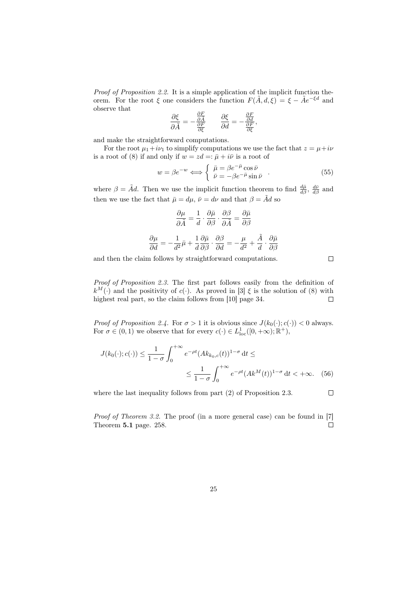Proof of Proposition 2.2. It is a simple application of the implicit function theorem. For the root  $\xi$  one considers the function  $F(\tilde{A}, d, \xi) = \xi - \tilde{A}e^{-\xi d}$  and observe that

$$
\frac{\partial \xi}{\partial \tilde{A}} = -\frac{\frac{\partial F}{\partial \tilde{A}}}{\frac{\partial F}{\partial \xi}} \qquad \frac{\partial \xi}{\partial d} = -\frac{\frac{\partial F}{\partial d}}{\frac{\partial F}{\partial \xi}},
$$

and make the straightforward computations.

For the root  $\mu_1 + i\nu_1$  to simplify computations we use the fact that  $z = \mu + i\nu$ is a root of (8) if and only if  $w = zd =: \bar{\mu} + i\bar{\nu}$  is a root of

$$
w = \beta e^{-w} \Longleftrightarrow \begin{cases} \bar{\mu} = \beta e^{-\bar{\mu}} \cos \bar{\nu} \\ \bar{\nu} = -\beta e^{-\bar{\mu}} \sin \bar{\nu} \end{cases} (55)
$$

where  $\beta = \tilde{A}d$ . Then we use the implicit function theorem to find  $\frac{d\bar{\mu}}{d\beta}$ ,  $\frac{d\bar{\nu}}{d\beta}$  and then we use the fact that  $\bar{\mu} = d\mu$ ,  $\bar{\nu} = d\nu$  and that  $\beta = \tilde{A}d$  so

$$
\frac{\partial \mu}{\partial \tilde{A}} = \frac{1}{d} \cdot \frac{\partial \tilde{\mu}}{\partial \beta} \cdot \frac{\partial \beta}{\partial \tilde{A}} = \frac{\partial \tilde{\mu}}{\partial \beta}
$$

$$
\frac{\partial \mu}{\partial d} = -\frac{1}{d^2} \bar{\mu} + \frac{1}{d} \frac{\partial \bar{\mu}}{\partial \beta} \cdot \frac{\partial \beta}{\partial d} = -\frac{\mu}{d^2} + \frac{\tilde{A}}{d} \cdot \frac{\partial \bar{\mu}}{\partial \beta}
$$

and then the claim follows by straightforward computations.

 $\Box$ 

 $\Box$ 

Proof of Proposition 2.3. The first part follows easily from the definition of  $k^M(\cdot)$  and the positivity of c(·). As proved in [3]  $\xi$  is the solution of (8) with highest real part, so the claim follows from [10] page 34.  $\Box$ 

*Proof of Proposition 2.4.* For  $\sigma > 1$  it is obvious since  $J(k_0(\cdot); c(\cdot)) < 0$  always. For  $\sigma \in (0,1)$  we observe that for every  $c(\cdot) \in L^1_{loc}([0,+\infty);\mathbb{R}^+),$ 

$$
J(k_0(\cdot);c(\cdot)) \le \frac{1}{1-\sigma} \int_0^{+\infty} e^{-\rho t} (Ak_{k_0,c}(t))^{1-\sigma} dt \le
$$
  

$$
\le \frac{1}{1-\sigma} \int_0^{+\infty} e^{-\rho t} (Ak^M(t))^{1-\sigma} dt < +\infty.
$$
 (56)

where the last inequality follows from part (2) of Proposition 2.3.

Proof of Theorem 3.2. The proof (in a more general case) can be found in [7] Theorem 5.1 page. 258. П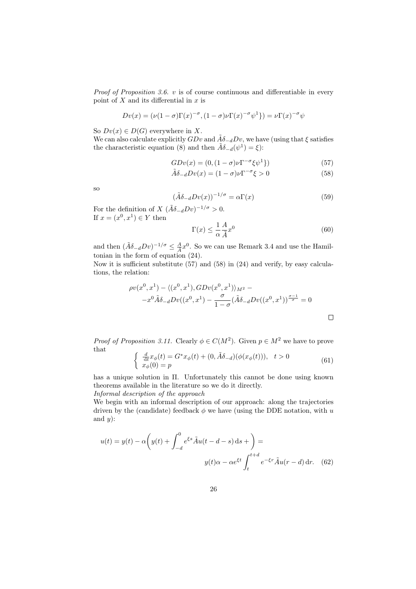*Proof of Proposition 3.6. v* is of course continuous and differentiable in every point of  $X$  and its differential in  $x$  is

$$
Dv(x) = (\nu(1-\sigma)\Gamma(x)^{-\sigma}, (1-\sigma)\nu\Gamma(x)^{-\sigma}\psi^1) = \nu\Gamma(x)^{-\sigma}\psi^1
$$

So  $Dv(x) \in D(G)$  everywhere in X.

We can also calculate explicitly  $GDv$  and  $\tilde{A}\delta_{-d}Dv$ , we have (using that  $\xi$  satisfies the characteristic equation (8) and then  $\tilde{A}\delta_{-d}(\psi^1) = \xi$ ):

$$
GDv(x) = (0, (1 - \sigma)\nu \Gamma^{-\sigma} \xi \psi^{1})
$$
\n(57)

$$
\tilde{A}\delta_{-d}Dv(x) = (1 - \sigma)\nu \Gamma^{-\sigma} \xi > 0 \tag{58}
$$

so

$$
(\tilde{A}\delta_{-d}Dv(x))^{-1/\sigma} = \alpha \Gamma(x) \tag{59}
$$

For the definition of  $X (\tilde{A}\delta_{-d}Dv)^{-1/\sigma} > 0$ . If  $x = (x^0, x^1) \in Y$  then

$$
\Gamma(x) \le \frac{1}{\alpha} \frac{A}{\tilde{A}} x^0 \tag{60}
$$

and then  $(\tilde{A}\delta_{-d}Dv)^{-1/\sigma} \leq \frac{A}{\tilde{A}}x^0$ . So we can use Remark 3.4 and use the Hamiltonian in the form of equation (24).

Now it is sufficient substitute (57) and (58) in (24) and verify, by easy calculations, the relation:

$$
\rho v(x^0, x^1) - \langle (x^0, x^1), GDv(x^0, x^1) \rangle_{M^2} -
$$
  

$$
-x^0 \tilde{A} \delta_{-d} Dv((x^0, x^1) - \frac{\sigma}{1 - \sigma} (\tilde{A} \delta_{-d} Dv((x^0, x^1))^\frac{\sigma - 1}{\sigma}) = 0
$$

*Proof of Proposition 3.11.* Clearly  $\phi \in C(M^2)$ . Given  $p \in M^2$  we have to prove that

$$
\begin{cases}\n\frac{d}{dt}x_{\phi}(t) = G^*x_{\phi}(t) + (0, \tilde{A}\delta_{-d})(\phi(x_{\phi}(t))), & t > 0 \\
x_{\phi}(0) = p\n\end{cases}
$$
\n(61)

has a unique solution in Π. Unfortunately this cannot be done using known theorems available in the literature so we do it directly.

Informal description of the approach

We begin with an informal description of our approach: along the trajectories driven by the (candidate) feedback  $\phi$  we have (using the DDE notation, with u and  $y$ :

$$
u(t) = y(t) - \alpha \left( y(t) + \int_{-d}^{0} e^{\xi s} \tilde{A} u(t - d - s) \, ds + \right) =
$$

$$
y(t)\alpha - \alpha e^{\xi t} \int_{t}^{t+d} e^{-\xi r} \tilde{A} u(r - d) \, dr. \tag{62}
$$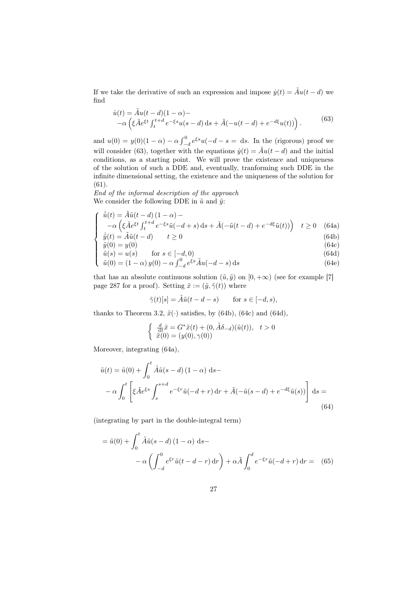If we take the derivative of such an expression and impose  $\dot{y}(t) = \tilde{A}u(t - d)$  we find

$$
\dot{u}(t) = \tilde{A}u(t-d)(1-\alpha) -
$$
  
 
$$
-\alpha \left(\xi \tilde{A}e^{\xi t} \int_{t}^{t+d} e^{-\xi s} u(s-d) ds + \tilde{A}(-u(t-d) + e^{-d\xi} u(t))\right).
$$
 (63)

and  $u(0) = y(0)(1 - \alpha) - \alpha \int_{-d}^{0} e^{\xi s} u(-d - s = ds)$ . In the (rigorous) proof we will consider (63), together with the equations  $\dot{y}(t) = \tilde{A}u(t - d)$  and the initial conditions, as a starting point. We will prove the existence and uniqueness of the solution of such a DDE and, eventually, tranforming such DDE in the infinite dimensional setting, the existence and the uniqueness of the solution for (61).

End of the informal description of the approach We consider the following DDE in  $\tilde{u}$  and  $\tilde{y}$ :

$$
\begin{cases} \n\dot{\tilde{u}}(t) = \tilde{A}\tilde{u}(t-d)(1-\alpha) - \\ \n-\alpha\left(\xi\tilde{A}e^{\xi t}\int_{t}^{t+d}e^{-\xi s}\tilde{u}(-d+s)\,\mathrm{d}s + \tilde{A}(-\tilde{u}(t-d) + e^{-d\xi}\tilde{u}(t))\right) & t \ge 0 \tag{64a} \\ \n\dot{\tilde{u}}(t) = \tilde{A}\tilde{u}(t-d) & t > 0 \n\end{cases}
$$

 $\dot{\tilde{y}}(t) = \tilde{A}\tilde{u}(t - d)$   $t \ge 0$  (64b)

$$
\tilde{y}(0) = y(0) \tag{64c}
$$
\n
$$
\tilde{z}(c) = y(c) \tag{64d}
$$

$$
\begin{cases}\n y(0) - y(0) \\
 \tilde{u}(s) = u(s) \\
 \tilde{u}(0) = (1 - \alpha) y(0) - \alpha \int_{-d}^{0} e^{\xi s} \tilde{A} u(-d - s) \, ds\n\end{cases}
$$
\n(64a)  
\n(64e)

that has an absolute continuous solution  $(\tilde{u}, \tilde{y})$  on  $[0, +\infty)$  (see for example [7] page 287 for a proof). Setting  $\tilde{x} := (\tilde{y}, \tilde{\gamma}(t))$  where

$$
\tilde{\gamma}(t)[s] = \tilde{A}\tilde{u}(t - d - s) \quad \text{for } s \in [-d, s),
$$

thanks to Theorem 3.2,  $\tilde{x}(\cdot)$  satisfies, by (64b), (64c) and (64d),

$$
\left\{\begin{array}{ll} \frac{d}{\mathrm{d}t}\tilde{x}=G^*\tilde{x}(t)+(0,\tilde{A}\delta_{-d})(\tilde{u}(t)), & t>0\\ \tilde{x}(0)=(y(0),\gamma(0)) & \end{array}\right.
$$

Moreover, integrating (64a),

$$
\tilde{u}(t) = \tilde{u}(0) + \int_0^t \tilde{A}\tilde{u}(s - d)(1 - \alpha) \, ds - \n-\alpha \int_0^t \left[ \xi \tilde{A} e^{\xi s} \int_s^{s+d} e^{-\xi r} \tilde{u}(-d + r) \, dr + \tilde{A}(-\tilde{u}(s - d) + e^{-d\xi} \tilde{u}(s)) \right] \, ds = \n(64)
$$

(integrating by part in the double-integral term)

$$
= \tilde{u}(0) + \int_0^t \tilde{A}\tilde{u}(s-d)(1-\alpha) ds -
$$

$$
- \alpha \left( \int_{-d}^0 e^{\xi r} \tilde{u}(t-d-r) dr \right) + \alpha \tilde{A} \int_0^d e^{-\xi r} \tilde{u}(-d+r) dr = (65)
$$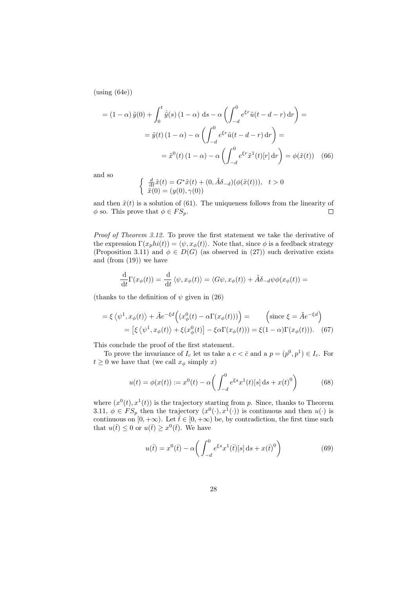$(u\sin g(64e))$ 

$$
= (1 - \alpha) \tilde{y}(0) + \int_0^t \dot{\tilde{y}}(s) (1 - \alpha) ds - \alpha \left( \int_{-d}^0 e^{\xi r} \tilde{u}(t - d - r) dr \right) =
$$

$$
= \tilde{y}(t) (1 - \alpha) - \alpha \left( \int_{-d}^0 e^{\xi r} \tilde{u}(t - d - r) dr \right) =
$$

$$
= \tilde{x}^0(t) (1 - \alpha) - \alpha \left( \int_{-d}^0 e^{\xi r} \tilde{x}^1(t)[r] dr \right) = \phi(\tilde{x}(t)) \quad (66)
$$

and so

$$
\begin{cases} \frac{d}{dt}\tilde{x}(t) = G^*\tilde{x}(t) + (0, \tilde{A}\delta_{-d})(\phi(\tilde{x}(t))), & t > 0\\ \tilde{x}(0) = (y(0), \gamma(0)) \end{cases}
$$

and then  $\tilde{x}(t)$  is a solution of (61). The uniqueness follows from the linearity of  $\phi$  so. This prove that  $\phi \in FS_p$ .  $\Box$ 

Proof of Theorem 3.12. To prove the first statement we take the derivative of the expression  $\Gamma(xphi(t)) = \langle \psi, x_{\phi}(t) \rangle$ . Note that, since  $\phi$  is a feedback strategy (Proposition 3.11) and  $\phi \in D(G)$  (as observed in (27)) such derivative exists and (from (19)) we have

$$
\frac{\mathrm{d}}{\mathrm{d}t}\Gamma(x_{\phi}(t)) = \frac{\mathrm{d}}{\mathrm{d}t}\langle\psi, x_{\phi}(t)\rangle = \langle G\psi, x_{\phi}(t)\rangle + \tilde{A}\delta_{-d}\psi\phi(x_{\phi}(t)) =
$$

(thanks to the definition of  $\psi$  given in (26)

$$
= \xi \langle \psi^1, x_{\phi}(t) \rangle + \tilde{A}e^{-\xi d} \Big( (x_{\phi}^0(t) - \alpha \Gamma(x_{\phi}(t))) \Big) = \qquad \left( \text{since } \xi = \tilde{A}e^{-\xi d} \right)
$$

$$
= \left[ \xi \langle \psi^1, x_{\phi}(t) \rangle + \xi(x_{\phi}^0(t)) \right] - \xi \alpha \Gamma(x_{\phi}(t))) = \xi (1 - \alpha) \Gamma(x_{\phi}(t))). \tag{67}
$$

This conclude the proof of the first statement.

To prove the invariance of  $I_c$  let us take a  $c < \bar{c}$  and a  $p = (p^0, p^1) \in I_c$ . For  $t \geq 0$  we have that (we call  $x_{\phi}$  simply x)

$$
u(t) = \phi(x(t)) := x^{0}(t) - \alpha \left( \int_{-d}^{0} e^{\xi s} x^{1}(t) [s] ds + x(t)^{0} \right)
$$
(68)

where  $(x^0(t), x^1(t))$  is the trajectory starting from p. Since, thanks to Theorem 3.11,  $\phi \in FS_p$  then the trajectory  $(x^0(\cdot), x^1(\cdot))$  is continuous and then  $u(\cdot)$  is continuous on  $[0, +\infty)$ . Let  $\overline{t} \in [0, +\infty)$  be, by contradiction, the first time such that  $u(\bar{t}) \leq 0$  or  $u(\bar{t}) \geq x^0(\bar{t})$ . We have

$$
u(\bar{t}) = x^0(\bar{t}) - \alpha \left( \int_{-d}^0 e^{\xi s} x^1(\bar{t})[s] ds + x(\bar{t})^0 \right)
$$
(69)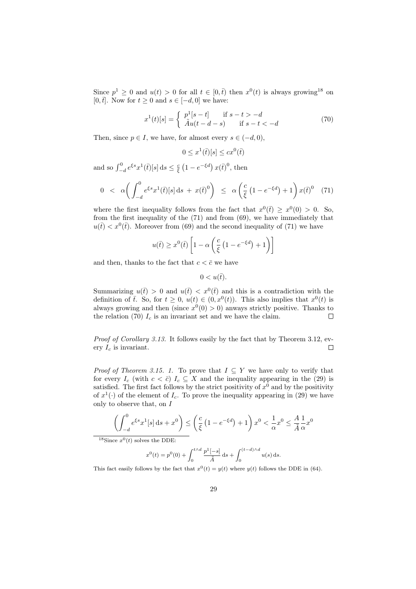Since  $p^1 \geq 0$  and  $u(t) > 0$  for all  $t \in [0, \bar{t})$  then  $x^0(t)$  is always growing<sup>18</sup> on [0,  $\bar{t}$ ]. Now for  $t \geq 0$  and  $s \in [-d, 0]$  we have:

$$
x^{1}(t)[s] = \begin{cases} p^{1}[s-t] & \text{if } s-t > -d \\ \tilde{A}u(t-d-s) & \text{if } s-t < -d \end{cases}
$$
 (70)

Then, since  $p \in I$ , we have, for almost every  $s \in (-d, 0)$ ,

$$
0 \leq x^1(\bar{t})[s] \leq cx^0(\bar{t})
$$

and so  $\int_{-d}^{0} e^{\xi s} x^{1}(\bar{t})[s] ds \leq \frac{c}{\xi} (1 - e^{-\xi d}) x(\bar{t})^{0}$ , then

$$
0 < \alpha \bigg( \int_{-d}^{0} e^{\xi s} x^{1}(\bar{t})[s] \, \mathrm{d}s + x(\bar{t})^{0} \bigg) \leq \alpha \left( \frac{c}{\xi} \left( 1 - e^{-\xi d} \right) + 1 \right) x(\bar{t})^{0} \tag{71}
$$

where the first inequality follows from the fact that  $x^0(\bar{t}) \geq x^0(0) > 0$ . So, from the first inequality of the (71) and from (69), we have immediately that  $u(\bar{t}) < x^0(\bar{t})$ . Moreover from (69) and the second inequality of (71) we have

$$
u(\bar{t}) \ge x^0(\bar{t}) \left[ 1 - \alpha \left( \frac{c}{\xi} \left( 1 - e^{-\xi d} \right) + 1 \right) \right]
$$

and then, thanks to the fact that  $c < \bar{c}$  we have

 $0 < u(\bar{t}).$ 

Summarizing  $u(\bar{t}) > 0$  and  $u(\bar{t}) < x^0(\bar{t})$  and this is a contradiction with the definition of  $\overline{t}$ . So, for  $t \geq 0$ ,  $u(t) \in (0, x^0(t))$ . This also implies that  $x^0(t)$  is always growing and then (since  $x^0(0) > 0$ ) anways strictly positive. Thanks to the relation (70)  $I_c$  is an invariant set and we have the claim.  $\Box$ 

Proof of Corollary 3.13. It follows easily by the fact that by Theorem 3.12, every  $I_c$  is invariant.  $\Box$ 

*Proof of Theorem 3.15. 1.* To prove that  $I \subseteq Y$  we have only to verify that for every  $I_c$  (with  $c < \bar{c}$ )  $I_c \subseteq X$  and the inequality appearing in the (29) is satisfied. The first fact follows by the strict positivity of  $x^0$  and by the positivity of  $x^1(\cdot)$  of the element of  $I_c$ . To prove the inequality appearing in (29) we have only to observe that, on I

$$
\left(\int_{-d}^{0} e^{\xi s} x^{1}[s] ds + x^{0}\right) \leq \left(\frac{c}{\xi} \left(1 - e^{-\xi d}\right) + 1\right) x^{0} < \frac{1}{\alpha} x^{0} \leq \frac{A}{\tilde{A}} \frac{1}{\alpha} x^{0}
$$

<sup>18</sup>Since  $x^0(t)$  solves the DDE:

$$
x^{0}(t) = p^{0}(0) + \int_{0}^{t \wedge d} \frac{p^{1}[-s]}{\tilde{A}} ds + \int_{0}^{(t-d) \wedge d} u(s) ds.
$$

This fact easily follows by the fact that  $x^0(t) = y(t)$  where  $y(t)$  follows the DDE in (64).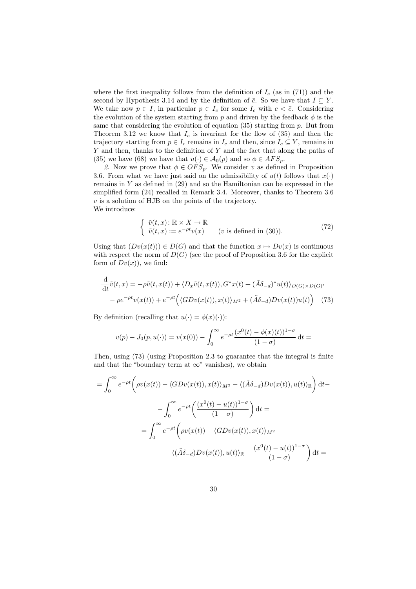where the first inequality follows from the definition of  $I_c$  (as in (71)) and the second by Hypothesis 3.14 and by the definition of  $\bar{c}$ . So we have that  $I \subseteq Y$ . We take now  $p \in I$ , in particular  $p \in I_c$  for some  $I_c$  with  $c < \bar{c}$ . Considering the evolution of the system starting from p and driven by the feedback  $\phi$  is the same that considering the evolution of equation  $(35)$  starting from p. But from Theorem 3.12 we know that  $I_c$  is invariant for the flow of (35) and then the trajectory starting from  $p \in I_c$  remains in  $I_c$  and then, since  $I_c \subseteq Y$ , remains in Y and then, thanks to the definition of Y and the fact that along the paths of (35) we have (68) we have that  $u(\cdot) \in \mathcal{A}_0(p)$  and so  $\phi \in AFS_p$ .

2. Now we prove that  $\phi \in OFS_p$ . We consider v as defined in Proposition 3.6. From what we have just said on the admissibility of  $u(t)$  follows that  $x(\cdot)$ remains in Y as defined in (29) and so the Hamiltonian can be expressed in the simplified form (24) recalled in Remark 3.4. Moreover, thanks to Theorem 3.6  $v$  is a solution of HJB on the points of the trajectory. We introduce:

$$
\begin{cases} \tilde{v}(t,x): \mathbb{R} \times X \to \mathbb{R} \\ \tilde{v}(t,x) := e^{-\rho t} v(x) \qquad (v \text{ is defined in (30))}. \end{cases}
$$
 (72)

Using that  $(Dv(x(t))) \in D(G)$  and that the function  $x \mapsto Dv(x)$  is continuous with respect the norm of  $D(G)$  (see the proof of Proposition 3.6 for the explicit form of  $Dv(x)$ , we find:

$$
\frac{\mathrm{d}}{\mathrm{d}t}\tilde{v}(t,x) = -\rho \tilde{v}(t,x(t)) + \langle D_x \tilde{v}(t,x(t)), G^*x(t) + (\tilde{A}\delta_{-d})^*u(t) \rangle_{D(G) \times D(G)'}
$$

$$
-\rho e^{-\rho t}v(x(t)) + e^{-\rho t} \Big( \langle GDv(x(t)), x(t) \rangle_{M^2} + (\tilde{A}\delta_{-d})Dv(x(t))u(t) \Big) \tag{73}
$$

By definition (recalling that  $u(\cdot) = \phi(x)(\cdot)$ ):

$$
v(p) - J_0(p, u(\cdot)) = v(x(0)) - \int_0^\infty e^{-\rho t} \frac{(x^0(t) - \phi(x)(t))^{1-\sigma}}{(1-\sigma)} dt =
$$

Then, using (73) (using Proposition 2.3 to guarantee that the integral is finite and that the "boundary term at  $\infty$ " vanishes), we obtain

$$
= \int_0^\infty e^{-\rho t} \left( \rho v(x(t)) - \langle GDv(x(t)), x(t) \rangle_{M^2} - \langle (\tilde{A}\delta_{-d})Dv(x(t)), u(t) \rangle_{\mathbb{R}} \right) dt -
$$

$$
- \int_0^\infty e^{-\rho t} \left( \frac{(x^0(t) - u(t))^{1-\sigma}}{(1-\sigma)} \right) dt =
$$

$$
= \int_0^\infty e^{-\rho t} \left( \rho v(x(t)) - \langle GDv(x(t)), x(t) \rangle_{M^2} - \langle (\tilde{A}\delta_{-d})Dv(x(t)), u(t) \rangle_{\mathbb{R}} - \frac{(x^0(t) - u(t))^{1-\sigma}}{(1-\sigma)} \right) dt =
$$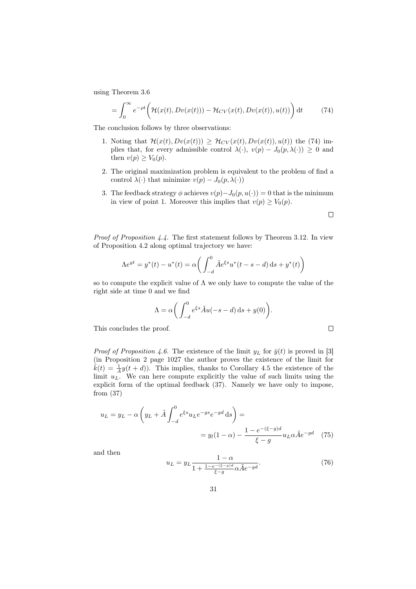using Theorem 3.6

$$
= \int_0^\infty e^{-\rho t} \left( \mathcal{H}(x(t), Dv(x(t))) - \mathcal{H}_{CV}(x(t), Dv(x(t)), u(t)) \right) dt \tag{74}
$$

The conclusion follows by three observations:

- 1. Noting that  $\mathcal{H}(x(t),Dv(x(t))) \geq \mathcal{H}_{CV}(x(t),Dv(x(t)),u(t))$  the (74) implies that, for every admissible control  $\lambda(\cdot)$ ,  $v(p) - J_0(p, \lambda(\cdot)) \geq 0$  and then  $v(p) \geq V_0(p)$ .
- 2. The original maximization problem is equivalent to the problem of find a control  $\lambda(\cdot)$  that minimize  $v(p) - J_0(p, \lambda(\cdot))$
- 3. The feedback strategy  $\phi$  achieves  $v(p)-J_0(p,u(\cdot))=0$  that is the minimum in view of point 1. Moreover this implies that  $v(p) \geq V_0(p)$ .

 $\Box$ 

 $\Box$ 

Proof of Proposition 4.4. The first statement follows by Theorem 3.12. In view of Proposition 4.2 along optimal trajectory we have:

$$
\Lambda e^{gt} = y^*(t) - u^*(t) = \alpha \bigg( \int_{-d}^0 \tilde{A} e^{\xi s} u^*(t - s - d) \, ds + y^*(t) \bigg)
$$

so to compute the explicit value of  $\Lambda$  we only have to compute the value of the right side at time 0 and we find

$$
\Lambda = \alpha \bigg( \int_{-d}^{0} e^{\xi s} \tilde{A} u(-s - d) \, \mathrm{d} s + y(0) \bigg).
$$

This concludes the proof.

*Proof of Proposition 4.6.* The existence of the limit  $y_L$  for  $\bar{y}(t)$  is proved in [3] (in Proposition 2 page 1027 the author proves the existence of the limit for  $\bar{k}(t) = \frac{1}{A}y(t+d)$ . This implies, thanks to Corollary 4.5 the existence of the limit  $u<sub>L</sub>$ . We can here compute explicitly the value of such limits using the explicit form of the optimal feedback (37). Namely we have only to impose, from (37)

$$
u_L = y_L - \alpha \left( y_L + \tilde{A} \int_{-d}^{0} e^{\xi s} u_L e^{-gs} e^{-gd} ds \right) =
$$
  
=  $y_l (1 - \alpha) - \frac{1 - e^{-(\xi - g)d}}{\xi - g} u_L \alpha \tilde{A} e^{-gd}$  (75)

and then

$$
u_L = y_L \frac{1 - \alpha}{1 + \frac{1 - e^{-(\xi - g)d}}{\xi - g} \alpha \tilde{A} e^{-gd}}.
$$
\n(76)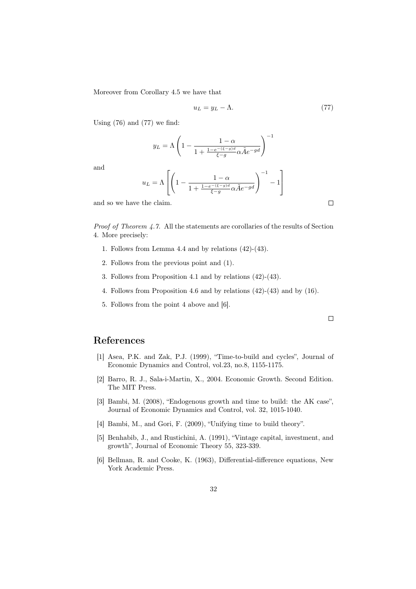Moreover from Corollary 4.5 we have that

$$
u_L = y_L - \Lambda. \tag{77}
$$

Using  $(76)$  and  $(77)$  we find:

$$
y_L = \Lambda \left( 1 - \frac{1 - \alpha}{1 + \frac{1 - e^{-(\xi - g)d}}{\xi - g} \alpha \tilde{A} e^{-g d}} \right)^{-1}
$$

and

$$
u_L = \Lambda \left[ \left( 1 - \frac{1 - \alpha}{1 + \frac{1 - e^{-\left(\xi - g\right)d}}{\xi - g} \alpha \tilde{A} e^{-g d}} \right)^{-1} - 1 \right]
$$

and so we have the claim.

Proof of Theorem 4.7. All the statements are corollaries of the results of Section 4. More precisely:

- 1. Follows from Lemma 4.4 and by relations (42)-(43).
- 2. Follows from the previous point and (1).
- 3. Follows from Proposition 4.1 and by relations (42)-(43).
- 4. Follows from Proposition 4.6 and by relations (42)-(43) and by (16).
- 5. Follows from the point 4 above and [6].

## References

- [1] Asea, P.K. and Zak, P.J. (1999), "Time-to-build and cycles", Journal of Economic Dynamics and Control, vol.23, no.8, 1155-1175.
- [2] Barro, R. J., Sala-i-Martin, X., 2004. Economic Growth. Second Edition. The MIT Press.
- [3] Bambi, M. (2008), "Endogenous growth and time to build: the AK case", Journal of Economic Dynamics and Control, vol. 32, 1015-1040.
- [4] Bambi, M., and Gori, F. (2009), "Unifying time to build theory".
- [5] Benhabib, J., and Rustichini, A. (1991), "Vintage capital, investment, and growth", Journal of Economic Theory 55, 323-339.
- [6] Bellman, R. and Cooke, K. (1963), Differential-difference equations, New York Academic Press.

 $\Box$ 

 $\Box$